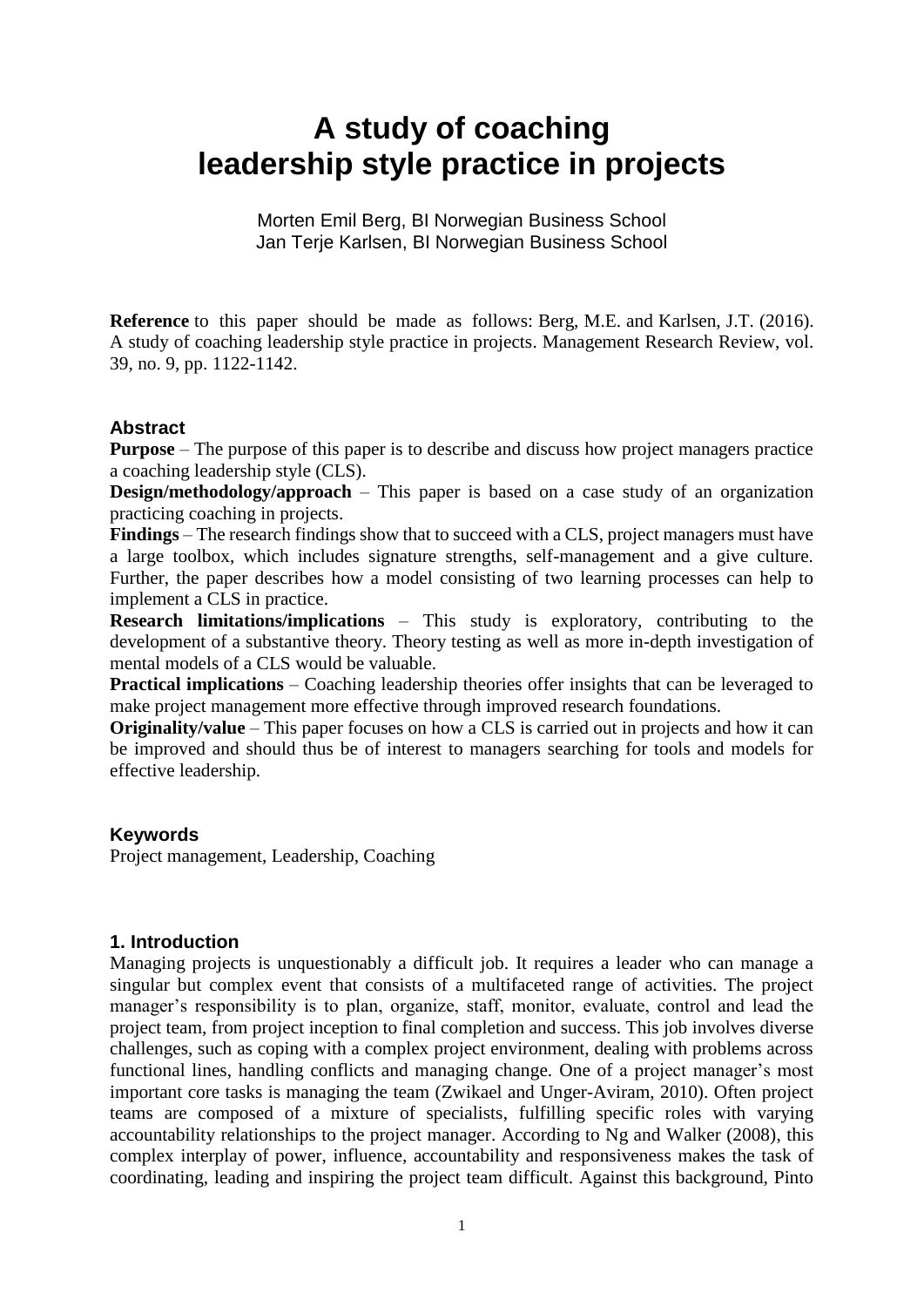# **A study of coaching leadership style practice in projects**

Morten Emil Berg, BI Norwegian Business School Jan Terje Karlsen, BI Norwegian Business School

**Reference** to this paper should be made as follows: Berg, M.E. and Karlsen, J.T. (2016). A study of coaching leadership style practice in projects. Management Research Review, vol. 39, no. 9, pp. 1122-1142.

# **Abstract**

**Purpose** – The purpose of this paper is to describe and discuss how project managers practice a coaching leadership style (CLS).

**Design/methodology/approach** – This paper is based on a case study of an organization practicing coaching in projects.

**Findings** – The research findings show that to succeed with a CLS, project managers must have a large toolbox, which includes signature strengths, self-management and a give culture. Further, the paper describes how a model consisting of two learning processes can help to implement a CLS in practice.

**Research limitations/implications** – This study is exploratory, contributing to the development of a substantive theory. Theory testing as well as more in-depth investigation of mental models of a CLS would be valuable.

**Practical implications** – Coaching leadership theories offer insights that can be leveraged to make project management more effective through improved research foundations.

**Originality/value** – This paper focuses on how a CLS is carried out in projects and how it can be improved and should thus be of interest to managers searching for tools and models for effective leadership.

#### **Keywords**

Project management, Leadership, Coaching

#### **1. Introduction**

Managing projects is unquestionably a difficult job. It requires a leader who can manage a singular but complex event that consists of a multifaceted range of activities. The project manager's responsibility is to plan, organize, staff, monitor, evaluate, control and lead the project team, from project inception to final completion and success. This job involves diverse challenges, such as coping with a complex project environment, dealing with problems across functional lines, handling conflicts and managing change. One of a project manager's most important core tasks is managing the team (Zwikael and Unger-Aviram, 2010). Often project teams are composed of a mixture of specialists, fulfilling specific roles with varying accountability relationships to the project manager. According to Ng and Walker (2008), this complex interplay of power, influence, accountability and responsiveness makes the task of coordinating, leading and inspiring the project team difficult. Against this background, Pinto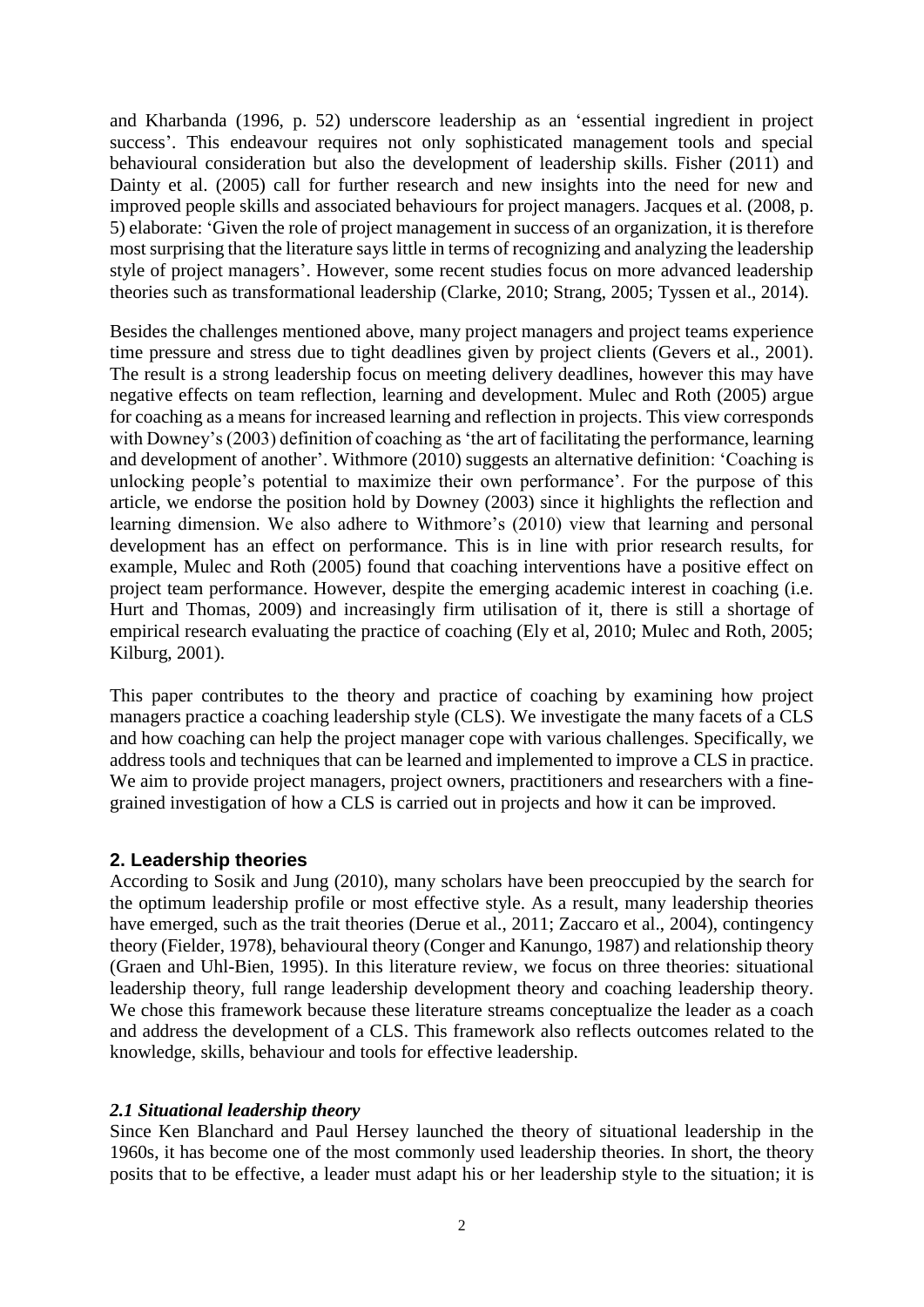and Kharbanda (1996, p. 52) underscore leadership as an 'essential ingredient in project success'. This endeavour requires not only sophisticated management tools and special behavioural consideration but also the development of leadership skills. Fisher (2011) and Dainty et al. (2005) call for further research and new insights into the need for new and improved people skills and associated behaviours for project managers. Jacques et al. (2008, p. 5) elaborate: 'Given the role of project management in success of an organization, it is therefore most surprising that the literature says little in terms of recognizing and analyzing the leadership style of project managers'. However, some recent studies focus on more advanced leadership theories such as transformational leadership (Clarke, 2010; Strang, 2005; Tyssen et al., 2014).

Besides the challenges mentioned above, many project managers and project teams experience time pressure and stress due to tight deadlines given by project clients (Gevers et al., 2001). The result is a strong leadership focus on meeting delivery deadlines, however this may have negative effects on team reflection, learning and development. Mulec and Roth (2005) argue for coaching as a means for increased learning and reflection in projects. This view corresponds with Downey's (2003) definition of coaching as ʻthe art of facilitating the performance, learning and development of another'. Withmore (2010) suggests an alternative definition: ʻCoaching is unlocking people's potential to maximize their own performance'. For the purpose of this article, we endorse the position hold by Downey (2003) since it highlights the reflection and learning dimension. We also adhere to Withmore's (2010) view that learning and personal development has an effect on performance. This is in line with prior research results, for example, Mulec and Roth (2005) found that coaching interventions have a positive effect on project team performance. However, despite the emerging academic interest in coaching (i.e. Hurt and Thomas, 2009) and increasingly firm utilisation of it, there is still a shortage of empirical research evaluating the practice of coaching (Ely et al, 2010; Mulec and Roth, 2005; Kilburg, 2001).

This paper contributes to the theory and practice of coaching by examining how project managers practice a coaching leadership style (CLS). We investigate the many facets of a CLS and how coaching can help the project manager cope with various challenges. Specifically, we address tools and techniques that can be learned and implemented to improve a CLS in practice. We aim to provide project managers, project owners, practitioners and researchers with a finegrained investigation of how a CLS is carried out in projects and how it can be improved.

# **2. Leadership theories**

According to Sosik and Jung (2010), many scholars have been preoccupied by the search for the optimum leadership profile or most effective style. As a result, many leadership theories have emerged, such as the trait theories (Derue et al., 2011; Zaccaro et al., 2004), contingency theory (Fielder, 1978), behavioural theory (Conger and Kanungo, 1987) and relationship theory (Graen and Uhl-Bien, 1995). In this literature review, we focus on three theories: situational leadership theory, full range leadership development theory and coaching leadership theory. We chose this framework because these literature streams conceptualize the leader as a coach and address the development of a CLS. This framework also reflects outcomes related to the knowledge, skills, behaviour and tools for effective leadership.

# *2.1 Situational leadership theory*

Since Ken Blanchard and Paul Hersey launched the theory of situational leadership in the 1960s, it has become one of the most commonly used leadership theories. In short, the theory posits that to be effective, a leader must adapt his or her leadership style to the situation; it is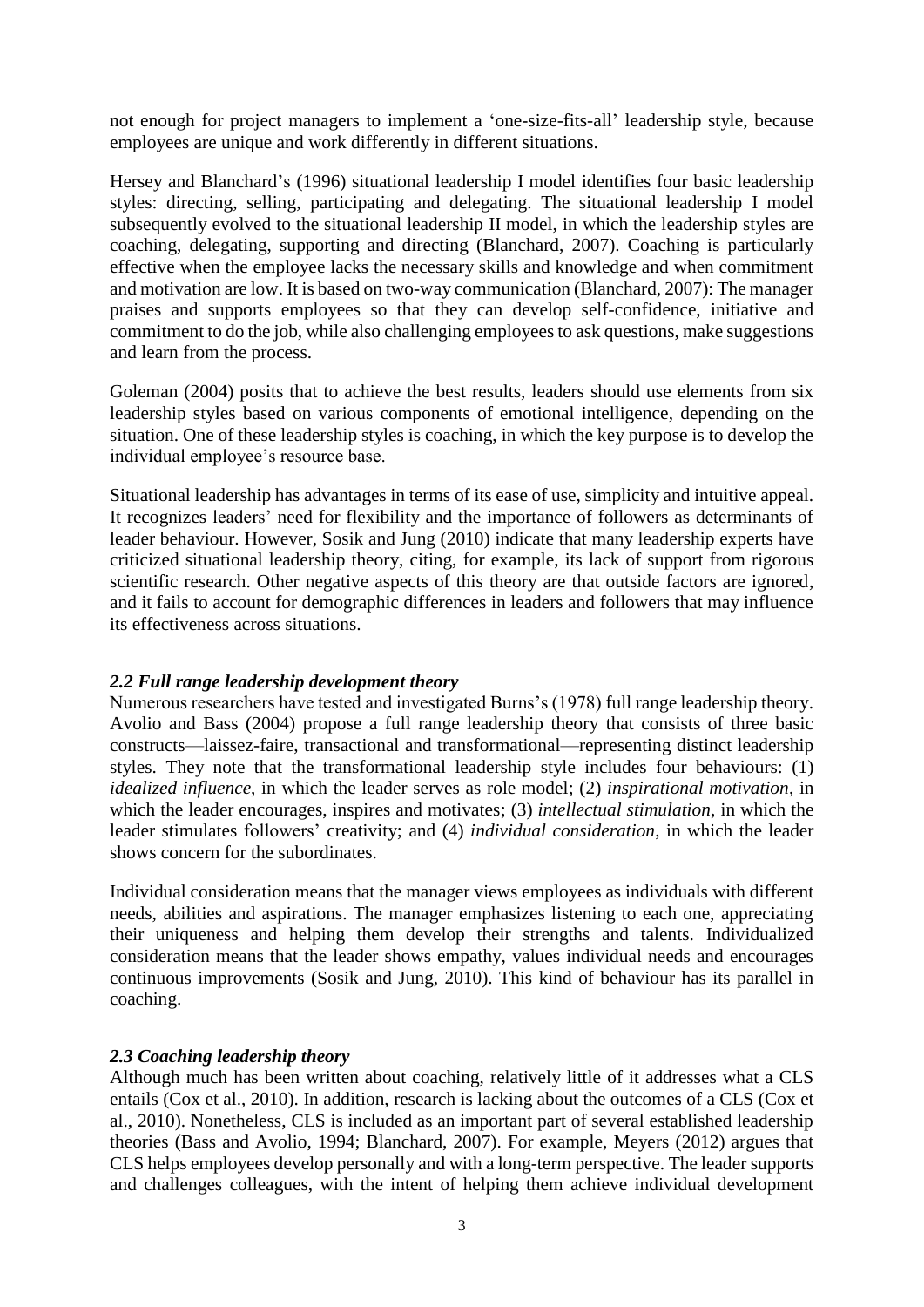not enough for project managers to implement a 'one-size-fits-all' leadership style, because employees are unique and work differently in different situations.

Hersey and Blanchard's (1996) situational leadership I model identifies four basic leadership styles: directing, selling, participating and delegating. The situational leadership I model subsequently evolved to the situational leadership II model, in which the leadership styles are coaching, delegating, supporting and directing (Blanchard, 2007). Coaching is particularly effective when the employee lacks the necessary skills and knowledge and when commitment and motivation are low. It is based on two-way communication (Blanchard, 2007): The manager praises and supports employees so that they can develop self-confidence, initiative and commitment to do the job, while also challenging employees to ask questions, make suggestions and learn from the process.

Goleman (2004) posits that to achieve the best results, leaders should use elements from six leadership styles based on various components of emotional intelligence, depending on the situation. One of these leadership styles is coaching, in which the key purpose is to develop the individual employee's resource base.

Situational leadership has advantages in terms of its ease of use, simplicity and intuitive appeal. It recognizes leaders' need for flexibility and the importance of followers as determinants of leader behaviour. However, Sosik and Jung (2010) indicate that many leadership experts have criticized situational leadership theory, citing, for example, its lack of support from rigorous scientific research. Other negative aspects of this theory are that outside factors are ignored, and it fails to account for demographic differences in leaders and followers that may influence its effectiveness across situations.

#### *2.2 Full range leadership development theory*

Numerous researchers have tested and investigated Burns's (1978) full range leadership theory. Avolio and Bass (2004) propose a full range leadership theory that consists of three basic constructs—laissez-faire, transactional and transformational—representing distinct leadership styles. They note that the transformational leadership style includes four behaviours: (1) *idealized influence*, in which the leader serves as role model; (2) *inspirational motivation*, in which the leader encourages, inspires and motivates; (3) *intellectual stimulation*, in which the leader stimulates followers' creativity; and (4) *individual consideration*, in which the leader shows concern for the subordinates.

Individual consideration means that the manager views employees as individuals with different needs, abilities and aspirations. The manager emphasizes listening to each one, appreciating their uniqueness and helping them develop their strengths and talents. Individualized consideration means that the leader shows empathy, values individual needs and encourages continuous improvements (Sosik and Jung, 2010). This kind of behaviour has its parallel in coaching.

#### *2.3 Coaching leadership theory*

Although much has been written about coaching, relatively little of it addresses what a CLS entails (Cox et al., 2010). In addition, research is lacking about the outcomes of a CLS (Cox et al., 2010). Nonetheless, CLS is included as an important part of several established leadership theories (Bass and Avolio, 1994; Blanchard, 2007). For example, Meyers (2012) argues that CLS helps employees develop personally and with a long-term perspective. The leader supports and challenges colleagues, with the intent of helping them achieve individual development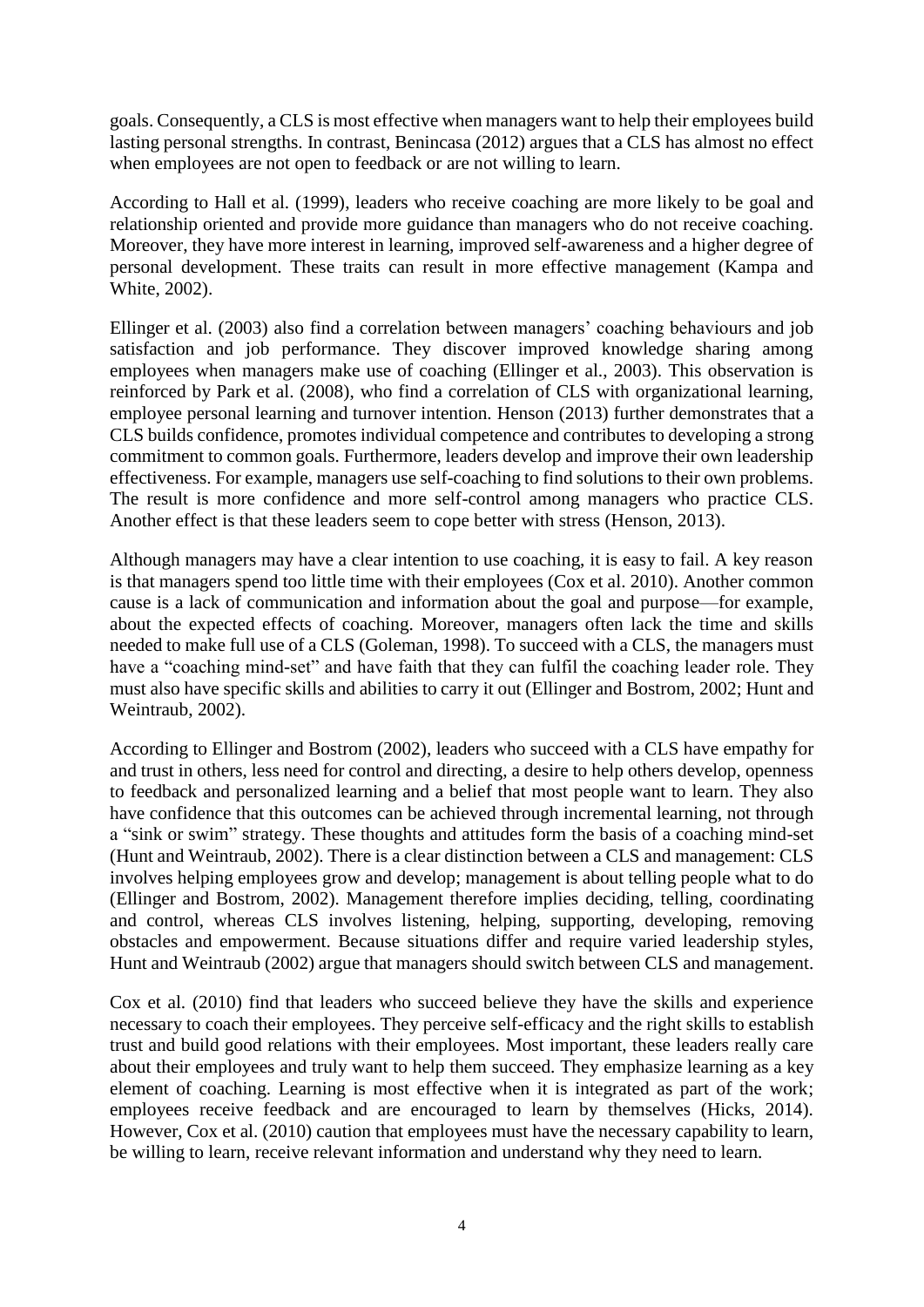goals. Consequently, a CLS is most effective when managers want to help their employees build lasting personal strengths. In contrast, Benincasa (2012) argues that a CLS has almost no effect when employees are not open to feedback or are not willing to learn.

According to Hall et al. (1999), leaders who receive coaching are more likely to be goal and relationship oriented and provide more guidance than managers who do not receive coaching. Moreover, they have more interest in learning, improved self-awareness and a higher degree of personal development. These traits can result in more effective management (Kampa and White, 2002).

Ellinger et al. (2003) also find a correlation between managers' coaching behaviours and job satisfaction and job performance. They discover improved knowledge sharing among employees when managers make use of coaching (Ellinger et al., 2003). This observation is reinforced by Park et al. (2008), who find a correlation of CLS with organizational learning, employee personal learning and turnover intention. Henson (2013) further demonstrates that a CLS builds confidence, promotes individual competence and contributes to developing a strong commitment to common goals. Furthermore, leaders develop and improve their own leadership effectiveness. For example, managers use self-coaching to find solutions to their own problems. The result is more confidence and more self-control among managers who practice CLS. Another effect is that these leaders seem to cope better with stress (Henson, 2013).

Although managers may have a clear intention to use coaching, it is easy to fail. A key reason is that managers spend too little time with their employees (Cox et al. 2010). Another common cause is a lack of communication and information about the goal and purpose—for example, about the expected effects of coaching. Moreover, managers often lack the time and skills needed to make full use of a CLS (Goleman, 1998). To succeed with a CLS, the managers must have a "coaching mind-set" and have faith that they can fulfil the coaching leader role. They must also have specific skills and abilities to carry it out (Ellinger and Bostrom, 2002; Hunt and Weintraub, 2002).

According to Ellinger and Bostrom (2002), leaders who succeed with a CLS have empathy for and trust in others, less need for control and directing, a desire to help others develop, openness to feedback and personalized learning and a belief that most people want to learn. They also have confidence that this outcomes can be achieved through incremental learning, not through a "sink or swim" strategy. These thoughts and attitudes form the basis of a coaching mind-set (Hunt and Weintraub, 2002). There is a clear distinction between a CLS and management: CLS involves helping employees grow and develop; management is about telling people what to do (Ellinger and Bostrom, 2002). Management therefore implies deciding, telling, coordinating and control, whereas CLS involves listening, helping, supporting, developing, removing obstacles and empowerment. Because situations differ and require varied leadership styles, Hunt and Weintraub (2002) argue that managers should switch between CLS and management.

Cox et al. (2010) find that leaders who succeed believe they have the skills and experience necessary to coach their employees. They perceive self-efficacy and the right skills to establish trust and build good relations with their employees. Most important, these leaders really care about their employees and truly want to help them succeed. They emphasize learning as a key element of coaching. Learning is most effective when it is integrated as part of the work; employees receive feedback and are encouraged to learn by themselves (Hicks, 2014). However, Cox et al. (2010) caution that employees must have the necessary capability to learn, be willing to learn, receive relevant information and understand why they need to learn.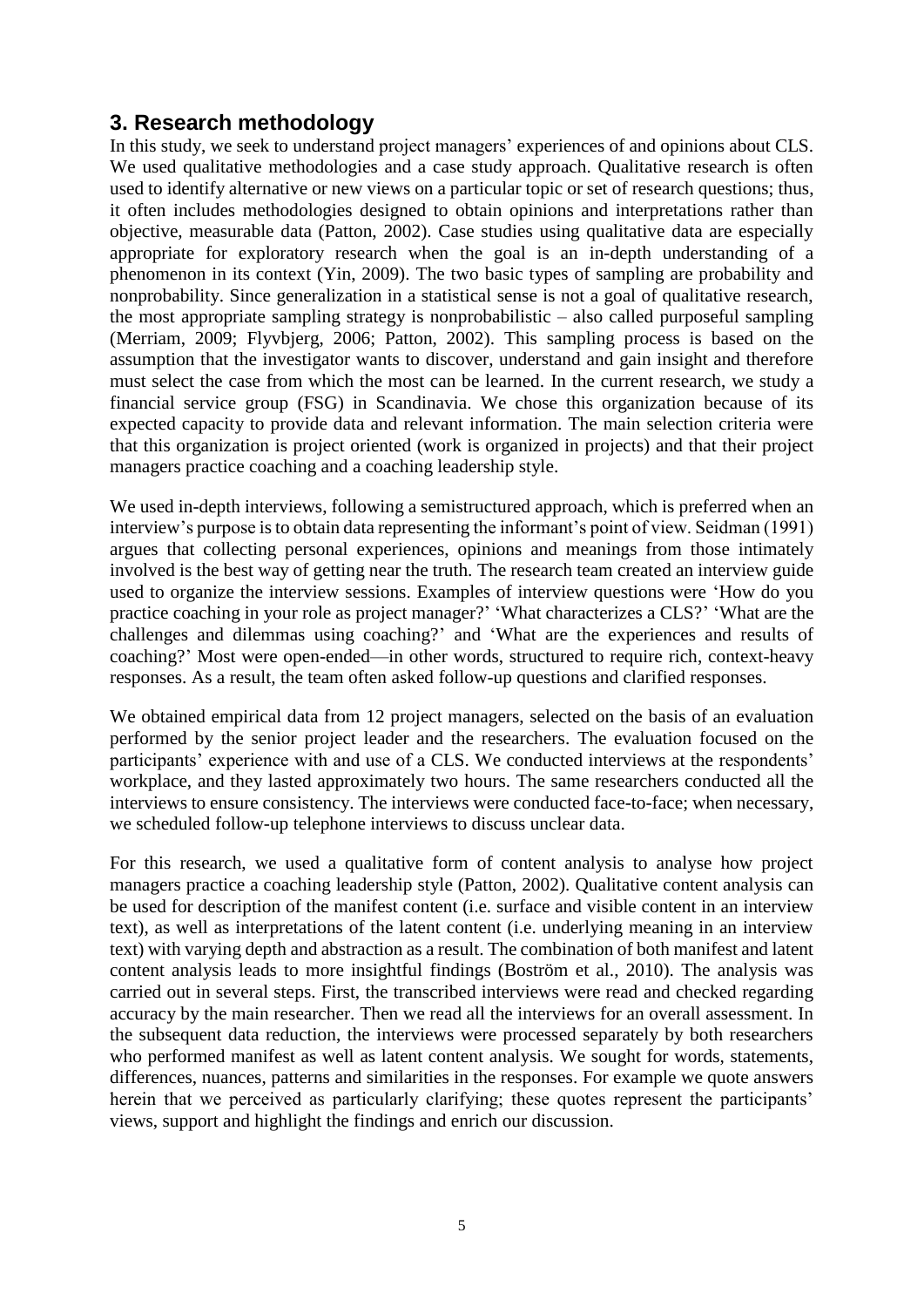# **3. Research methodology**

In this study, we seek to understand project managers' experiences of and opinions about CLS. We used qualitative methodologies and a case study approach. Qualitative research is often used to identify alternative or new views on a particular topic or set of research questions; thus, it often includes methodologies designed to obtain opinions and interpretations rather than objective, measurable data (Patton, 2002). Case studies using qualitative data are especially appropriate for exploratory research when the goal is an in-depth understanding of a phenomenon in its context (Yin, 2009). The two basic types of sampling are probability and nonprobability. Since generalization in a statistical sense is not a goal of qualitative research, the most appropriate sampling strategy is nonprobabilistic – also called purposeful sampling (Merriam, 2009; Flyvbjerg, 2006; Patton, 2002). This sampling process is based on the assumption that the investigator wants to discover, understand and gain insight and therefore must select the case from which the most can be learned. In the current research, we study a financial service group (FSG) in Scandinavia. We chose this organization because of its expected capacity to provide data and relevant information. The main selection criteria were that this organization is project oriented (work is organized in projects) and that their project managers practice coaching and a coaching leadership style.

We used in-depth interviews, following a semistructured approach, which is preferred when an interview's purpose is to obtain data representing the informant's point of view. Seidman (1991) argues that collecting personal experiences, opinions and meanings from those intimately involved is the best way of getting near the truth. The research team created an interview guide used to organize the interview sessions. Examples of interview questions were 'How do you practice coaching in your role as project manager?' 'What characterizes a CLS?' 'What are the challenges and dilemmas using coaching?' and 'What are the experiences and results of coaching?' Most were open-ended—in other words, structured to require rich, context-heavy responses. As a result, the team often asked follow-up questions and clarified responses.

We obtained empirical data from 12 project managers, selected on the basis of an evaluation performed by the senior project leader and the researchers. The evaluation focused on the participants' experience with and use of a CLS. We conducted interviews at the respondents' workplace, and they lasted approximately two hours. The same researchers conducted all the interviews to ensure consistency. The interviews were conducted face-to-face; when necessary, we scheduled follow-up telephone interviews to discuss unclear data.

For this research, we used a qualitative form of content analysis to analyse how project managers practice a coaching leadership style (Patton, 2002). Qualitative content analysis can be used for description of the manifest content (i.e. surface and visible content in an interview text), as well as interpretations of the latent content (i.e. underlying meaning in an interview text) with varying depth and abstraction as a result. The combination of both manifest and latent content analysis leads to more insightful findings (Boström et al., 2010). The analysis was carried out in several steps. First, the transcribed interviews were read and checked regarding accuracy by the main researcher. Then we read all the interviews for an overall assessment. In the subsequent data reduction, the interviews were processed separately by both researchers who performed manifest as well as latent content analysis. We sought for words, statements, differences, nuances, patterns and similarities in the responses. For example we quote answers herein that we perceived as particularly clarifying; these quotes represent the participants' views, support and highlight the findings and enrich our discussion.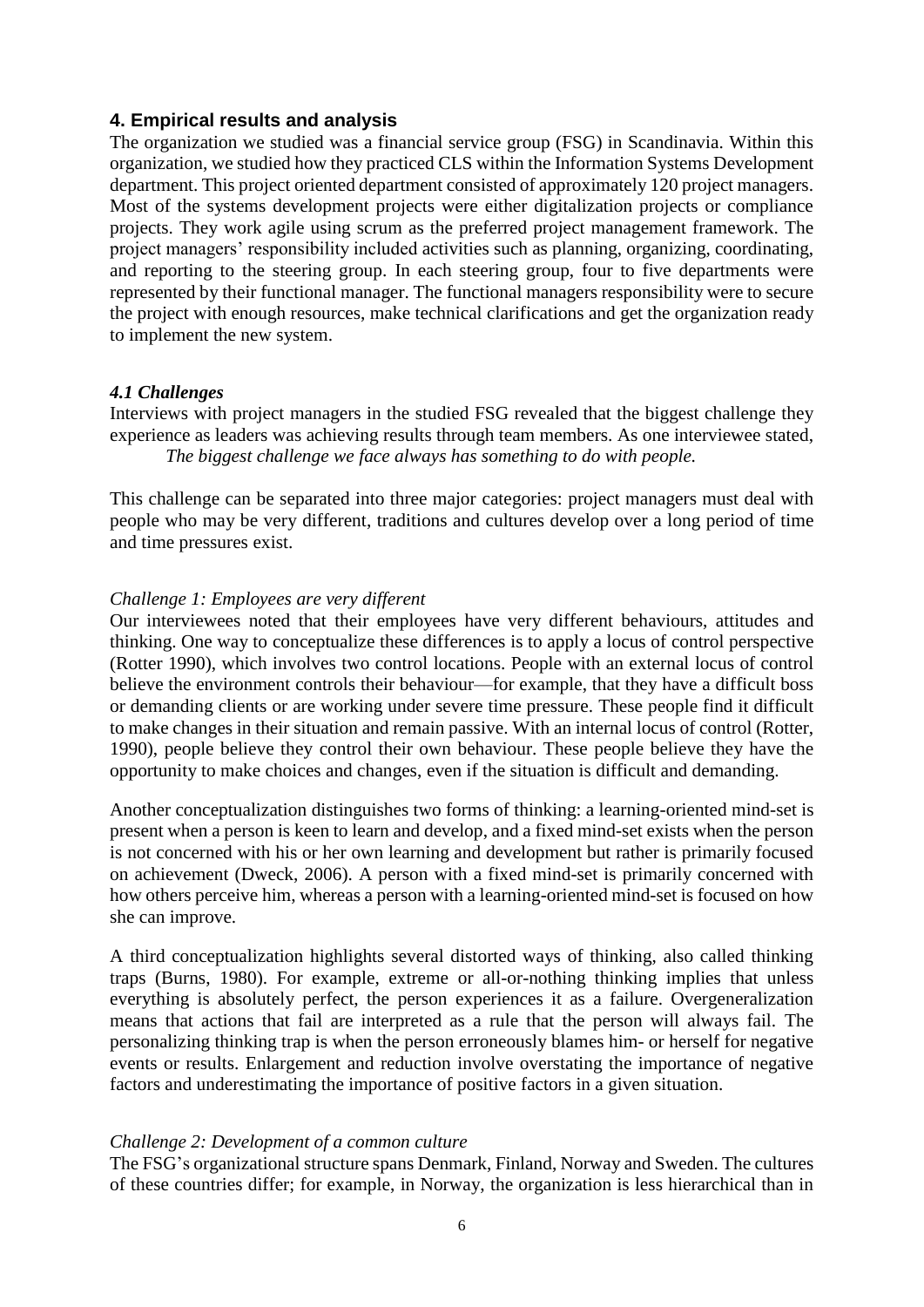# **4. Empirical results and analysis**

The organization we studied was a financial service group (FSG) in Scandinavia. Within this organization, we studied how they practiced CLS within the Information Systems Development department. This project oriented department consisted of approximately 120 project managers. Most of the systems development projects were either digitalization projects or compliance projects. They work agile using scrum as the preferred project management framework. The project managers' responsibility included activities such as planning, organizing, coordinating, and reporting to the steering group. In each steering group, four to five departments were represented by their functional manager. The functional managers responsibility were to secure the project with enough resources, make technical clarifications and get the organization ready to implement the new system.

#### *4.1 Challenges*

Interviews with project managers in the studied FSG revealed that the biggest challenge they experience as leaders was achieving results through team members. As one interviewee stated, *The biggest challenge we face always has something to do with people.*

This challenge can be separated into three major categories: project managers must deal with people who may be very different, traditions and cultures develop over a long period of time and time pressures exist.

#### *Challenge 1: Employees are very different*

Our interviewees noted that their employees have very different behaviours, attitudes and thinking. One way to conceptualize these differences is to apply a locus of control perspective (Rotter 1990), which involves two control locations. People with an external locus of control believe the environment controls their behaviour—for example, that they have a difficult boss or demanding clients or are working under severe time pressure. These people find it difficult to make changes in their situation and remain passive. With an internal locus of control (Rotter, 1990), people believe they control their own behaviour. These people believe they have the opportunity to make choices and changes, even if the situation is difficult and demanding.

Another conceptualization distinguishes two forms of thinking: a learning-oriented mind-set is present when a person is keen to learn and develop, and a fixed mind-set exists when the person is not concerned with his or her own learning and development but rather is primarily focused on achievement (Dweck, 2006). A person with a fixed mind-set is primarily concerned with how others perceive him, whereas a person with a learning-oriented mind-set is focused on how she can improve.

A third conceptualization highlights several distorted ways of thinking, also called thinking traps (Burns, 1980). For example, extreme or all-or-nothing thinking implies that unless everything is absolutely perfect, the person experiences it as a failure. Overgeneralization means that actions that fail are interpreted as a rule that the person will always fail. The personalizing thinking trap is when the person erroneously blames him- or herself for negative events or results. Enlargement and reduction involve overstating the importance of negative factors and underestimating the importance of positive factors in a given situation.

#### *Challenge 2: Development of a common culture*

The FSG's organizational structure spans Denmark, Finland, Norway and Sweden. The cultures of these countries differ; for example, in Norway, the organization is less hierarchical than in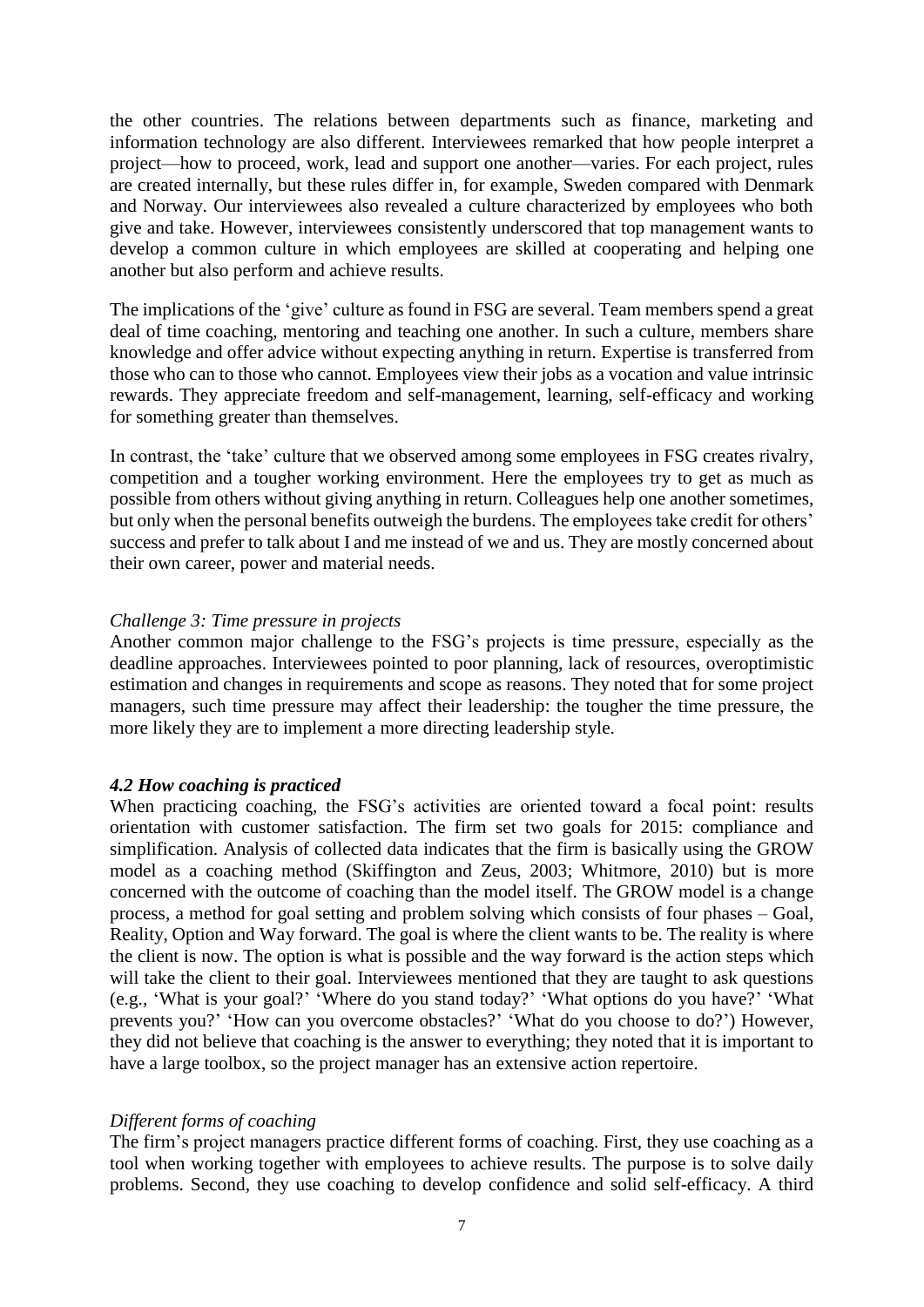the other countries. The relations between departments such as finance, marketing and information technology are also different. Interviewees remarked that how people interpret a project—how to proceed, work, lead and support one another—varies. For each project, rules are created internally, but these rules differ in, for example, Sweden compared with Denmark and Norway. Our interviewees also revealed a culture characterized by employees who both give and take. However, interviewees consistently underscored that top management wants to develop a common culture in which employees are skilled at cooperating and helping one another but also perform and achieve results.

The implications of the 'give' culture as found in FSG are several. Team members spend a great deal of time coaching, mentoring and teaching one another. In such a culture, members share knowledge and offer advice without expecting anything in return. Expertise is transferred from those who can to those who cannot. Employees view their jobs as a vocation and value intrinsic rewards. They appreciate freedom and self-management, learning, self-efficacy and working for something greater than themselves.

In contrast, the 'take' culture that we observed among some employees in FSG creates rivalry, competition and a tougher working environment. Here the employees try to get as much as possible from others without giving anything in return. Colleagues help one another sometimes, but only when the personal benefits outweigh the burdens. The employees take credit for others' success and prefer to talk about I and me instead of we and us. They are mostly concerned about their own career, power and material needs.

#### *Challenge 3: Time pressure in projects*

Another common major challenge to the FSG's projects is time pressure, especially as the deadline approaches. Interviewees pointed to poor planning, lack of resources, overoptimistic estimation and changes in requirements and scope as reasons. They noted that for some project managers, such time pressure may affect their leadership: the tougher the time pressure, the more likely they are to implement a more directing leadership style.

# *4.2 How coaching is practiced*

When practicing coaching, the FSG's activities are oriented toward a focal point: results orientation with customer satisfaction. The firm set two goals for 2015: compliance and simplification. Analysis of collected data indicates that the firm is basically using the GROW model as a coaching method (Skiffington and Zeus, 2003; Whitmore, 2010) but is more concerned with the outcome of coaching than the model itself. The GROW model is a change process, a method for goal setting and problem solving which consists of four phases – Goal, Reality, Option and Way forward. The goal is where the client wants to be. The reality is where the client is now. The option is what is possible and the way forward is the action steps which will take the client to their goal. Interviewees mentioned that they are taught to ask questions (e.g., 'What is your goal?' 'Where do you stand today?' 'What options do you have?' 'What prevents you?' 'How can you overcome obstacles?' 'What do you choose to do?') However, they did not believe that coaching is the answer to everything; they noted that it is important to have a large toolbox, so the project manager has an extensive action repertoire.

#### *Different forms of coaching*

The firm's project managers practice different forms of coaching. First, they use coaching as a tool when working together with employees to achieve results. The purpose is to solve daily problems. Second, they use coaching to develop confidence and solid self-efficacy. A third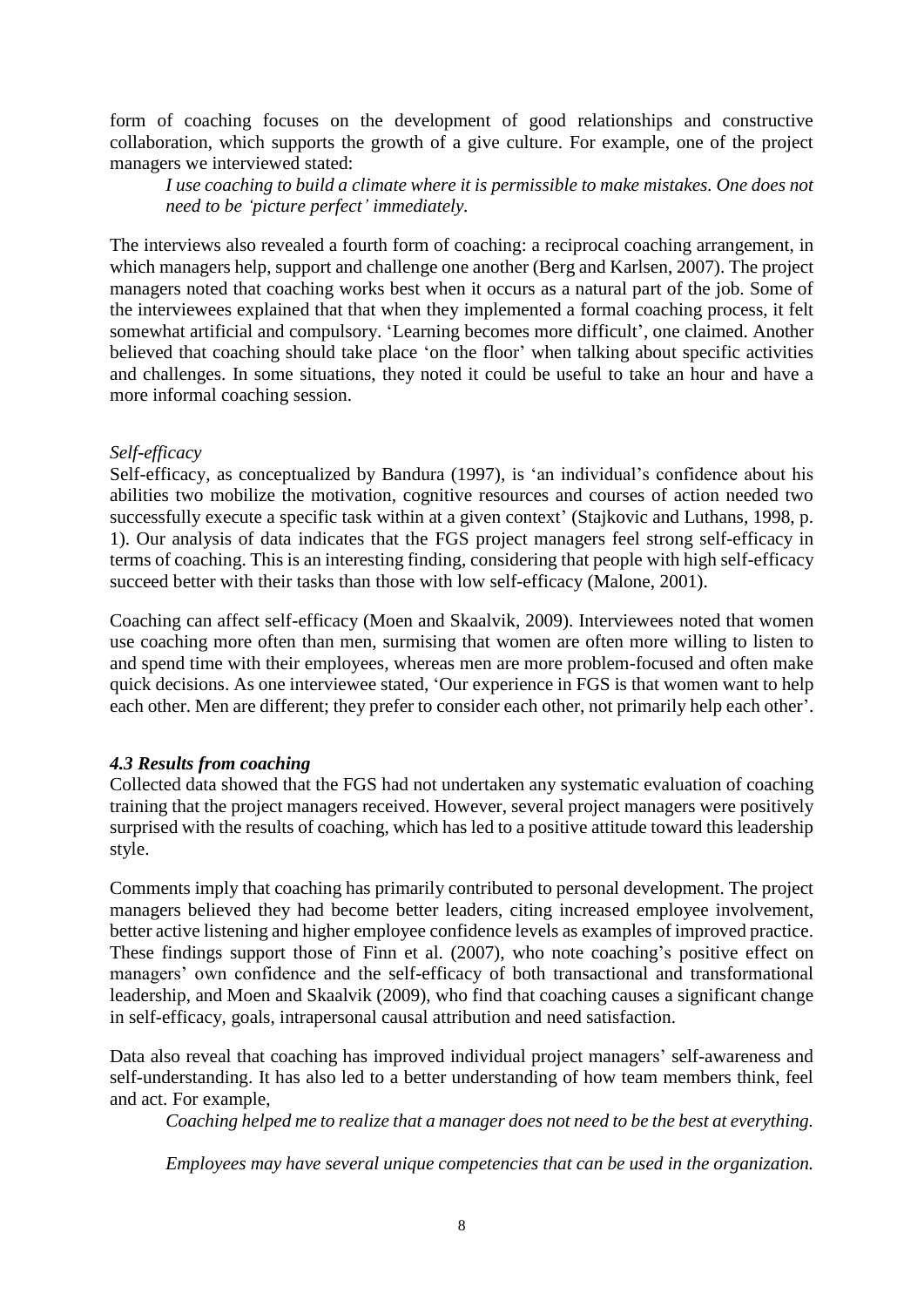form of coaching focuses on the development of good relationships and constructive collaboration, which supports the growth of a give culture. For example, one of the project managers we interviewed stated:

*I use coaching to build a climate where it is permissible to make mistakes. One does not need to be 'picture perfect' immediately.*

The interviews also revealed a fourth form of coaching: a reciprocal coaching arrangement, in which managers help, support and challenge one another (Berg and Karlsen, 2007). The project managers noted that coaching works best when it occurs as a natural part of the job. Some of the interviewees explained that that when they implemented a formal coaching process, it felt somewhat artificial and compulsory. 'Learning becomes more difficult', one claimed. Another believed that coaching should take place 'on the floor' when talking about specific activities and challenges. In some situations, they noted it could be useful to take an hour and have a more informal coaching session.

#### *Self-efficacy*

Self-efficacy, as conceptualized by Bandura (1997), is 'an individual's confidence about his abilities two mobilize the motivation, cognitive resources and courses of action needed two successfully execute a specific task within at a given context' (Stajkovic and Luthans, 1998, p. 1). Our analysis of data indicates that the FGS project managers feel strong self-efficacy in terms of coaching. This is an interesting finding, considering that people with high self-efficacy succeed better with their tasks than those with low self-efficacy (Malone, 2001).

Coaching can affect self-efficacy (Moen and Skaalvik, 2009). Interviewees noted that women use coaching more often than men, surmising that women are often more willing to listen to and spend time with their employees, whereas men are more problem-focused and often make quick decisions. As one interviewee stated, 'Our experience in FGS is that women want to help each other. Men are different; they prefer to consider each other, not primarily help each other'.

# *4.3 Results from coaching*

Collected data showed that the FGS had not undertaken any systematic evaluation of coaching training that the project managers received. However, several project managers were positively surprised with the results of coaching, which has led to a positive attitude toward this leadership style.

Comments imply that coaching has primarily contributed to personal development. The project managers believed they had become better leaders, citing increased employee involvement, better active listening and higher employee confidence levels as examples of improved practice. These findings support those of Finn et al. (2007), who note coaching's positive effect on managers' own confidence and the self-efficacy of both transactional and transformational leadership, and Moen and Skaalvik (2009), who find that coaching causes a significant change in self-efficacy, goals, intrapersonal causal attribution and need satisfaction.

Data also reveal that coaching has improved individual project managers' self-awareness and self-understanding. It has also led to a better understanding of how team members think, feel and act. For example,

*Coaching helped me to realize that a manager does not need to be the best at everything.* 

*Employees may have several unique competencies that can be used in the organization.*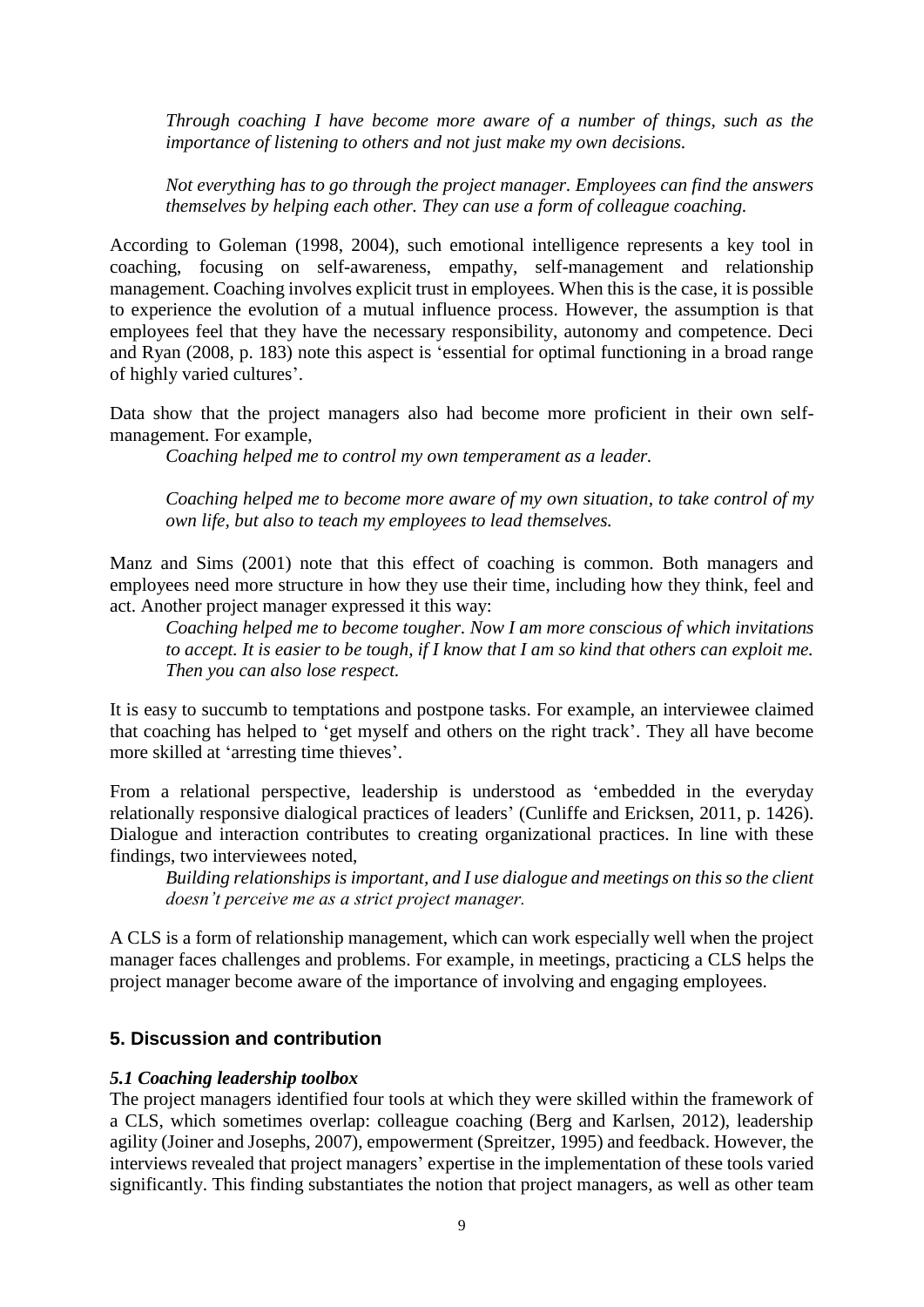*Through coaching I have become more aware of a number of things, such as the importance of listening to others and not just make my own decisions.*

*Not everything has to go through the project manager. Employees can find the answers themselves by helping each other. They can use a form of colleague coaching.*

According to Goleman (1998, 2004), such emotional intelligence represents a key tool in coaching, focusing on self-awareness, empathy, self-management and relationship management. Coaching involves explicit trust in employees. When this is the case, it is possible to experience the evolution of a mutual influence process. However, the assumption is that employees feel that they have the necessary responsibility, autonomy and competence. Deci and Ryan (2008, p. 183) note this aspect is 'essential for optimal functioning in a broad range of highly varied cultures'.

Data show that the project managers also had become more proficient in their own selfmanagement. For example,

*Coaching helped me to control my own temperament as a leader.*

*Coaching helped me to become more aware of my own situation, to take control of my own life, but also to teach my employees to lead themselves.*

Manz and Sims (2001) note that this effect of coaching is common. Both managers and employees need more structure in how they use their time, including how they think, feel and act. Another project manager expressed it this way:

*Coaching helped me to become tougher. Now I am more conscious of which invitations*  to accept. It is easier to be tough, if I know that I am so kind that others can exploit me. *Then you can also lose respect.*

It is easy to succumb to temptations and postpone tasks. For example, an interviewee claimed that coaching has helped to 'get myself and others on the right track'. They all have become more skilled at 'arresting time thieves'.

From a relational perspective, leadership is understood as 'embedded in the everyday relationally responsive dialogical practices of leaders' (Cunliffe and Ericksen, 2011, p. 1426). Dialogue and interaction contributes to creating organizational practices. In line with these findings, two interviewees noted,

*Building relationships is important, and I use dialogue and meetings on this so the client doesn't perceive me as a strict project manager.*

A CLS is a form of relationship management, which can work especially well when the project manager faces challenges and problems. For example, in meetings, practicing a CLS helps the project manager become aware of the importance of involving and engaging employees.

#### **5. Discussion and contribution**

#### *5.1 Coaching leadership toolbox*

The project managers identified four tools at which they were skilled within the framework of a CLS, which sometimes overlap: colleague coaching (Berg and Karlsen, 2012), leadership agility (Joiner and Josephs, 2007), empowerment (Spreitzer, 1995) and feedback. However, the interviews revealed that project managers' expertise in the implementation of these tools varied significantly. This finding substantiates the notion that project managers, as well as other team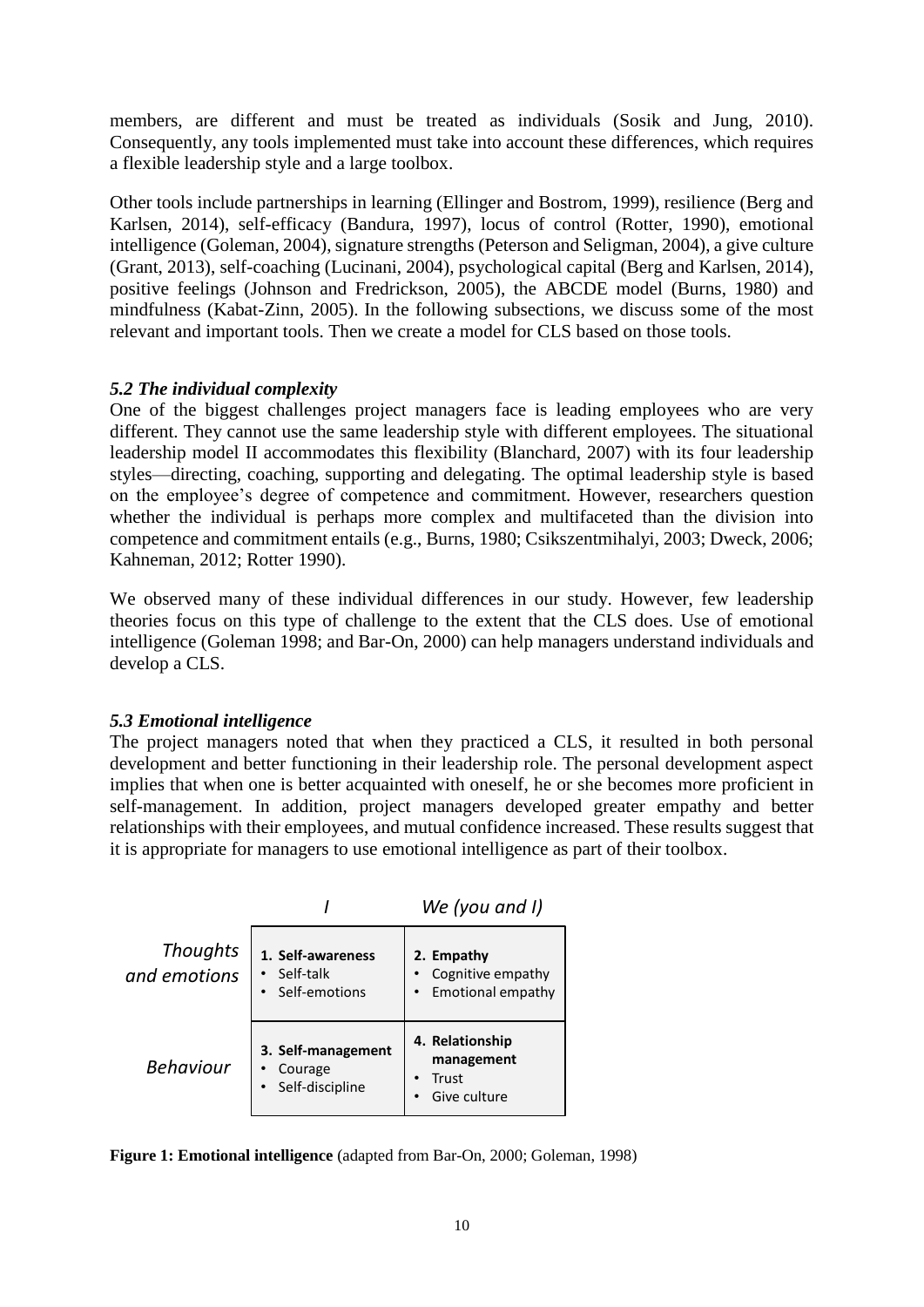members, are different and must be treated as individuals (Sosik and Jung, 2010). Consequently, any tools implemented must take into account these differences, which requires a flexible leadership style and a large toolbox.

Other tools include partnerships in learning (Ellinger and Bostrom, 1999), resilience (Berg and Karlsen, 2014), self-efficacy (Bandura, 1997), locus of control (Rotter, 1990), emotional intelligence (Goleman, 2004), signature strengths (Peterson and Seligman, 2004), a give culture (Grant, 2013), self-coaching (Lucinani, 2004), psychological capital (Berg and Karlsen, 2014), positive feelings (Johnson and Fredrickson, 2005), the ABCDE model (Burns, 1980) and mindfulness (Kabat-Zinn, 2005). In the following subsections, we discuss some of the most relevant and important tools. Then we create a model for CLS based on those tools.

# *5.2 The individual complexity*

One of the biggest challenges project managers face is leading employees who are very different. They cannot use the same leadership style with different employees. The situational leadership model II accommodates this flexibility (Blanchard, 2007) with its four leadership styles—directing, coaching, supporting and delegating. The optimal leadership style is based on the employee's degree of competence and commitment. However, researchers question whether the individual is perhaps more complex and multifaceted than the division into competence and commitment entails (e.g., Burns, 1980; Csikszentmihalyi, 2003; Dweck, 2006; Kahneman, 2012; Rotter 1990).

We observed many of these individual differences in our study. However, few leadership theories focus on this type of challenge to the extent that the CLS does. Use of emotional intelligence (Goleman 1998; and Bar-On, 2000) can help managers understand individuals and develop a CLS.

#### *5.3 Emotional intelligence*

The project managers noted that when they practiced a CLS, it resulted in both personal development and better functioning in their leadership role. The personal development aspect implies that when one is better acquainted with oneself, he or she becomes more proficient in self-management. In addition, project managers developed greater empathy and better relationships with their employees, and mutual confidence increased. These results suggest that it is appropriate for managers to use emotional intelligence as part of their toolbox.



**Figure 1: Emotional intelligence** (adapted from Bar-On, 2000; Goleman, 1998)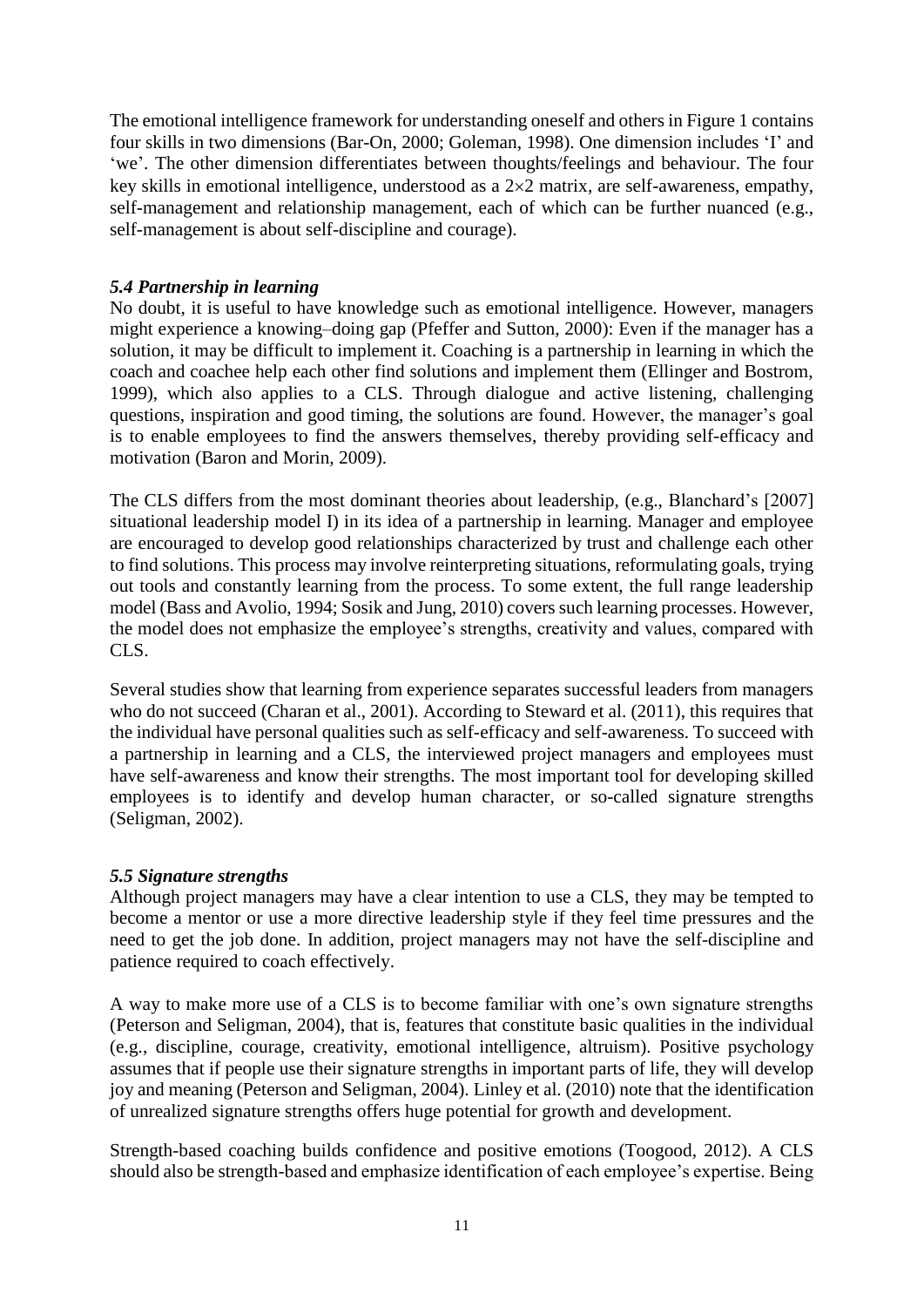The emotional intelligence framework for understanding oneself and others in Figure 1 contains four skills in two dimensions (Bar-On, 2000; Goleman, 1998). One dimension includes 'I' and 'we'. The other dimension differentiates between thoughts/feelings and behaviour. The four key skills in emotional intelligence, understood as a  $2\times 2$  matrix, are self-awareness, empathy, self-management and relationship management, each of which can be further nuanced (e.g., self-management is about self-discipline and courage).

# *5.4 Partnership in learning*

No doubt, it is useful to have knowledge such as emotional intelligence. However, managers might experience a knowing–doing gap (Pfeffer and Sutton, 2000): Even if the manager has a solution, it may be difficult to implement it. Coaching is a partnership in learning in which the coach and coachee help each other find solutions and implement them (Ellinger and Bostrom, 1999), which also applies to a CLS. Through dialogue and active listening, challenging questions, inspiration and good timing, the solutions are found. However, the manager's goal is to enable employees to find the answers themselves, thereby providing self-efficacy and motivation (Baron and Morin, 2009).

The CLS differs from the most dominant theories about leadership, (e.g., Blanchard's [2007] situational leadership model I) in its idea of a partnership in learning. Manager and employee are encouraged to develop good relationships characterized by trust and challenge each other to find solutions. This process may involve reinterpreting situations, reformulating goals, trying out tools and constantly learning from the process. To some extent, the full range leadership model (Bass and Avolio, 1994; Sosik and Jung, 2010) covers such learning processes. However, the model does not emphasize the employee's strengths, creativity and values, compared with CLS.

Several studies show that learning from experience separates successful leaders from managers who do not succeed (Charan et al., 2001). According to Steward et al. (2011), this requires that the individual have personal qualities such as self-efficacy and self-awareness. To succeed with a partnership in learning and a CLS, the interviewed project managers and employees must have self-awareness and know their strengths. The most important tool for developing skilled employees is to identify and develop human character, or so-called signature strengths (Seligman, 2002).

#### *5.5 Signature strengths*

Although project managers may have a clear intention to use a CLS, they may be tempted to become a mentor or use a more directive leadership style if they feel time pressures and the need to get the job done. In addition, project managers may not have the self-discipline and patience required to coach effectively.

A way to make more use of a CLS is to become familiar with one's own signature strengths (Peterson and Seligman, 2004), that is, features that constitute basic qualities in the individual (e.g., discipline, courage, creativity, emotional intelligence, altruism). Positive psychology assumes that if people use their signature strengths in important parts of life, they will develop joy and meaning (Peterson and Seligman, 2004). Linley et al. (2010) note that the identification of unrealized signature strengths offers huge potential for growth and development.

Strength-based coaching builds confidence and positive emotions (Toogood, 2012). A CLS should also be strength-based and emphasize identification of each employee's expertise. Being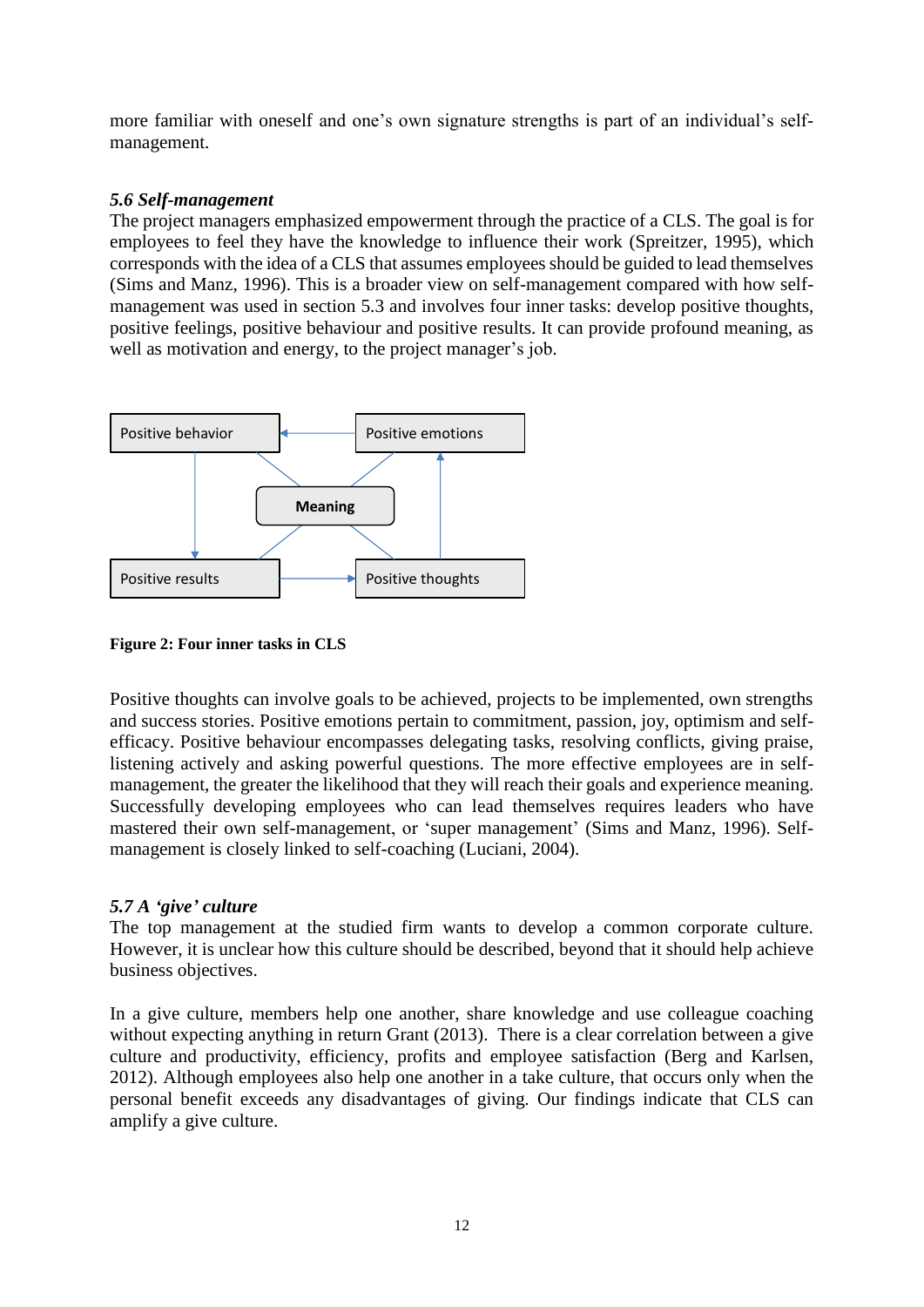more familiar with oneself and one's own signature strengths is part of an individual's selfmanagement.

# *5.6 Self-management*

The project managers emphasized empowerment through the practice of a CLS. The goal is for employees to feel they have the knowledge to influence their work (Spreitzer, 1995), which corresponds with the idea of a CLS that assumes employees should be guided to lead themselves (Sims and Manz, 1996). This is a broader view on self-management compared with how selfmanagement was used in section 5.3 and involves four inner tasks: develop positive thoughts, positive feelings, positive behaviour and positive results. It can provide profound meaning, as well as motivation and energy, to the project manager's job.



**Figure 2: Four inner tasks in CLS**

Positive thoughts can involve goals to be achieved, projects to be implemented, own strengths and success stories. Positive emotions pertain to commitment, passion, joy, optimism and selfefficacy. Positive behaviour encompasses delegating tasks, resolving conflicts, giving praise, listening actively and asking powerful questions. The more effective employees are in selfmanagement, the greater the likelihood that they will reach their goals and experience meaning. Successfully developing employees who can lead themselves requires leaders who have mastered their own self-management, or 'super management' (Sims and Manz, 1996). Selfmanagement is closely linked to self-coaching (Luciani, 2004).

# *5.7 A 'give' culture*

The top management at the studied firm wants to develop a common corporate culture. However, it is unclear how this culture should be described, beyond that it should help achieve business objectives.

In a give culture, members help one another, share knowledge and use colleague coaching without expecting anything in return Grant (2013). There is a clear correlation between a give culture and productivity, efficiency, profits and employee satisfaction (Berg and Karlsen, 2012). Although employees also help one another in a take culture, that occurs only when the personal benefit exceeds any disadvantages of giving. Our findings indicate that CLS can amplify a give culture.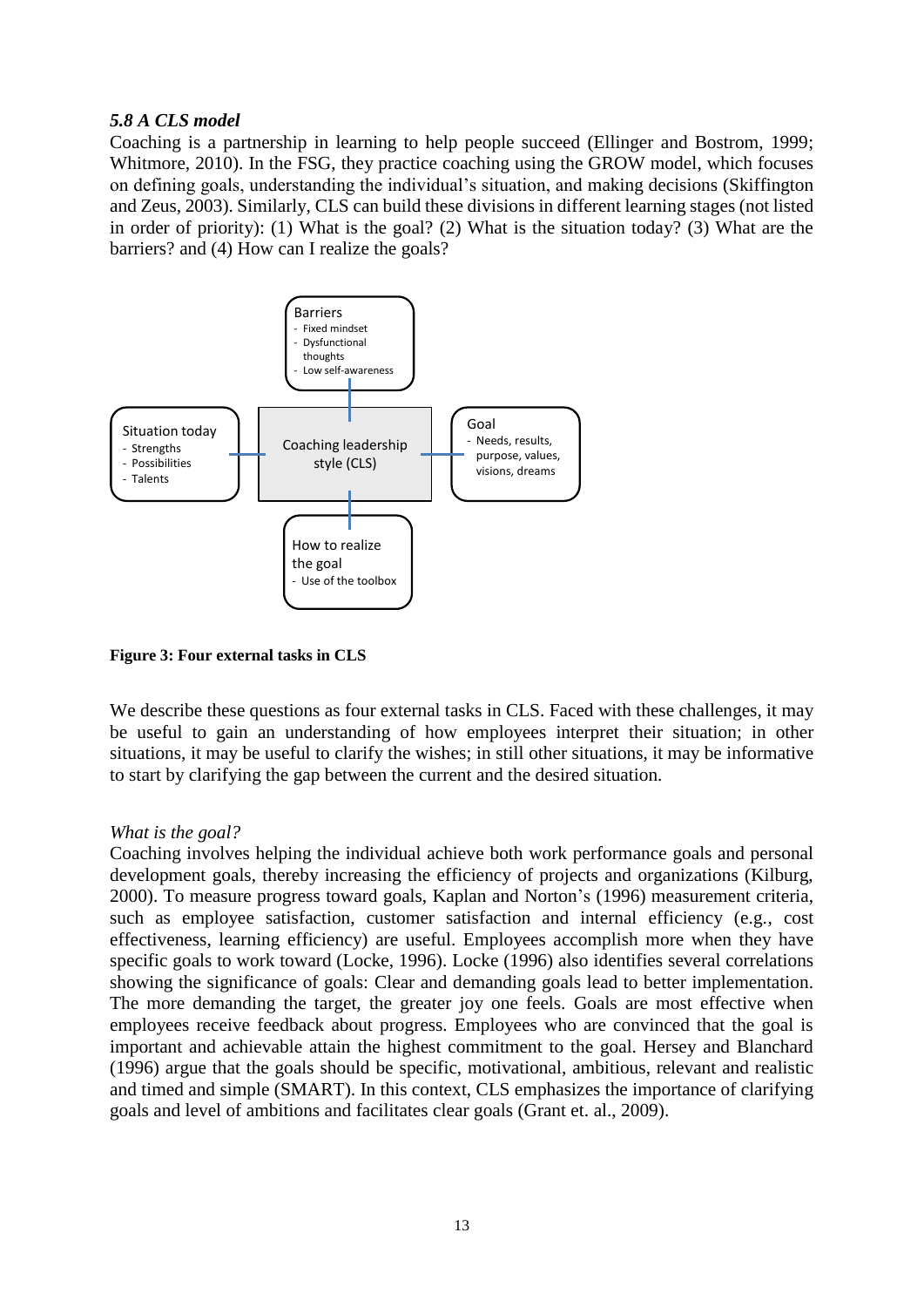#### *5.8 A CLS model*

Coaching is a partnership in learning to help people succeed (Ellinger and Bostrom, 1999; Whitmore, 2010). In the FSG, they practice coaching using the GROW model, which focuses on defining goals, understanding the individual's situation, and making decisions (Skiffington and Zeus, 2003). Similarly, CLS can build these divisions in different learning stages (not listed in order of priority): (1) What is the goal? (2) What is the situation today? (3) What are the barriers? and (4) How can I realize the goals?



**Figure 3: Four external tasks in CLS**

We describe these questions as four external tasks in CLS. Faced with these challenges, it may be useful to gain an understanding of how employees interpret their situation; in other situations, it may be useful to clarify the wishes; in still other situations, it may be informative to start by clarifying the gap between the current and the desired situation.

#### *What is the goal?*

Coaching involves helping the individual achieve both work performance goals and personal development goals, thereby increasing the efficiency of projects and organizations (Kilburg, 2000). To measure progress toward goals, Kaplan and Norton's (1996) measurement criteria, such as employee satisfaction, customer satisfaction and internal efficiency (e.g., cost effectiveness, learning efficiency) are useful. Employees accomplish more when they have specific goals to work toward (Locke, 1996). Locke (1996) also identifies several correlations showing the significance of goals: Clear and demanding goals lead to better implementation. The more demanding the target, the greater joy one feels. Goals are most effective when employees receive feedback about progress. Employees who are convinced that the goal is important and achievable attain the highest commitment to the goal. Hersey and Blanchard (1996) argue that the goals should be specific, motivational, ambitious, relevant and realistic and timed and simple (SMART). In this context, CLS emphasizes the importance of clarifying goals and level of ambitions and facilitates clear goals (Grant et. al., 2009).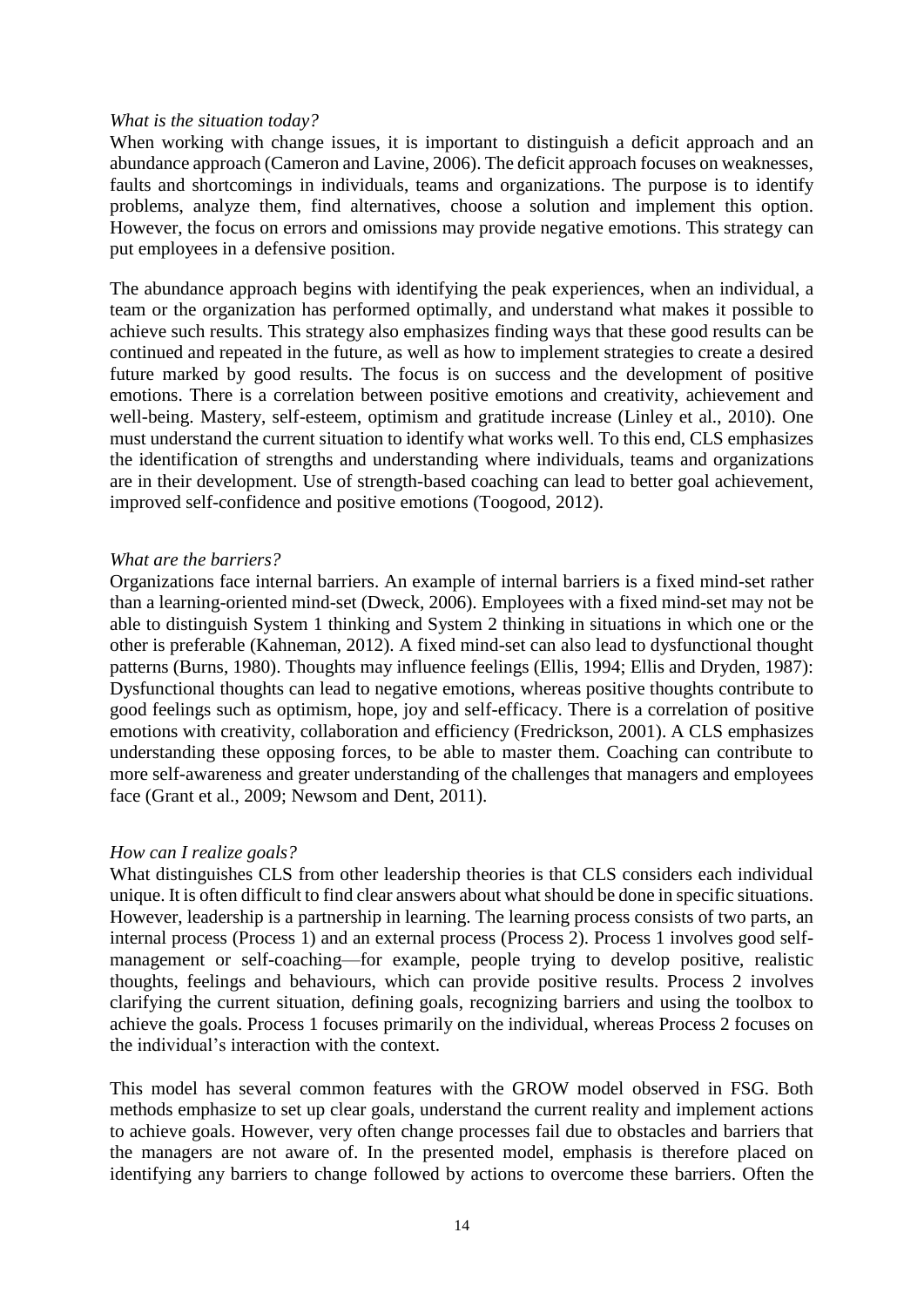#### *What is the situation today?*

When working with change issues, it is important to distinguish a deficit approach and an abundance approach (Cameron and Lavine, 2006). The deficit approach focuses on weaknesses, faults and shortcomings in individuals, teams and organizations. The purpose is to identify problems, analyze them, find alternatives, choose a solution and implement this option. However, the focus on errors and omissions may provide negative emotions. This strategy can put employees in a defensive position.

The abundance approach begins with identifying the peak experiences, when an individual, a team or the organization has performed optimally, and understand what makes it possible to achieve such results. This strategy also emphasizes finding ways that these good results can be continued and repeated in the future, as well as how to implement strategies to create a desired future marked by good results. The focus is on success and the development of positive emotions. There is a correlation between positive emotions and creativity, achievement and well-being. Mastery, self-esteem, optimism and gratitude increase (Linley et al., 2010). One must understand the current situation to identify what works well. To this end, CLS emphasizes the identification of strengths and understanding where individuals, teams and organizations are in their development. Use of strength-based coaching can lead to better goal achievement, improved self-confidence and positive emotions (Toogood, 2012).

#### *What are the barriers?*

Organizations face internal barriers. An example of internal barriers is a fixed mind-set rather than a learning-oriented mind-set (Dweck, 2006). Employees with a fixed mind-set may not be able to distinguish System 1 thinking and System 2 thinking in situations in which one or the other is preferable (Kahneman, 2012). A fixed mind-set can also lead to dysfunctional thought patterns (Burns, 1980). Thoughts may influence feelings (Ellis, 1994; Ellis and Dryden, 1987): Dysfunctional thoughts can lead to negative emotions, whereas positive thoughts contribute to good feelings such as optimism, hope, joy and self-efficacy. There is a correlation of positive emotions with creativity, collaboration and efficiency (Fredrickson, 2001). A CLS emphasizes understanding these opposing forces, to be able to master them. Coaching can contribute to more self-awareness and greater understanding of the challenges that managers and employees face (Grant et al., 2009; Newsom and Dent, 2011).

#### *How can I realize goals?*

What distinguishes CLS from other leadership theories is that CLS considers each individual unique. It is often difficult to find clear answers about what should be done in specific situations. However, leadership is a partnership in learning. The learning process consists of two parts, an internal process (Process 1) and an external process (Process 2). Process 1 involves good selfmanagement or self-coaching—for example, people trying to develop positive, realistic thoughts, feelings and behaviours, which can provide positive results. Process 2 involves clarifying the current situation, defining goals, recognizing barriers and using the toolbox to achieve the goals. Process 1 focuses primarily on the individual, whereas Process 2 focuses on the individual's interaction with the context.

This model has several common features with the GROW model observed in FSG. Both methods emphasize to set up clear goals, understand the current reality and implement actions to achieve goals. However, very often change processes fail due to obstacles and barriers that the managers are not aware of. In the presented model, emphasis is therefore placed on identifying any barriers to change followed by actions to overcome these barriers. Often the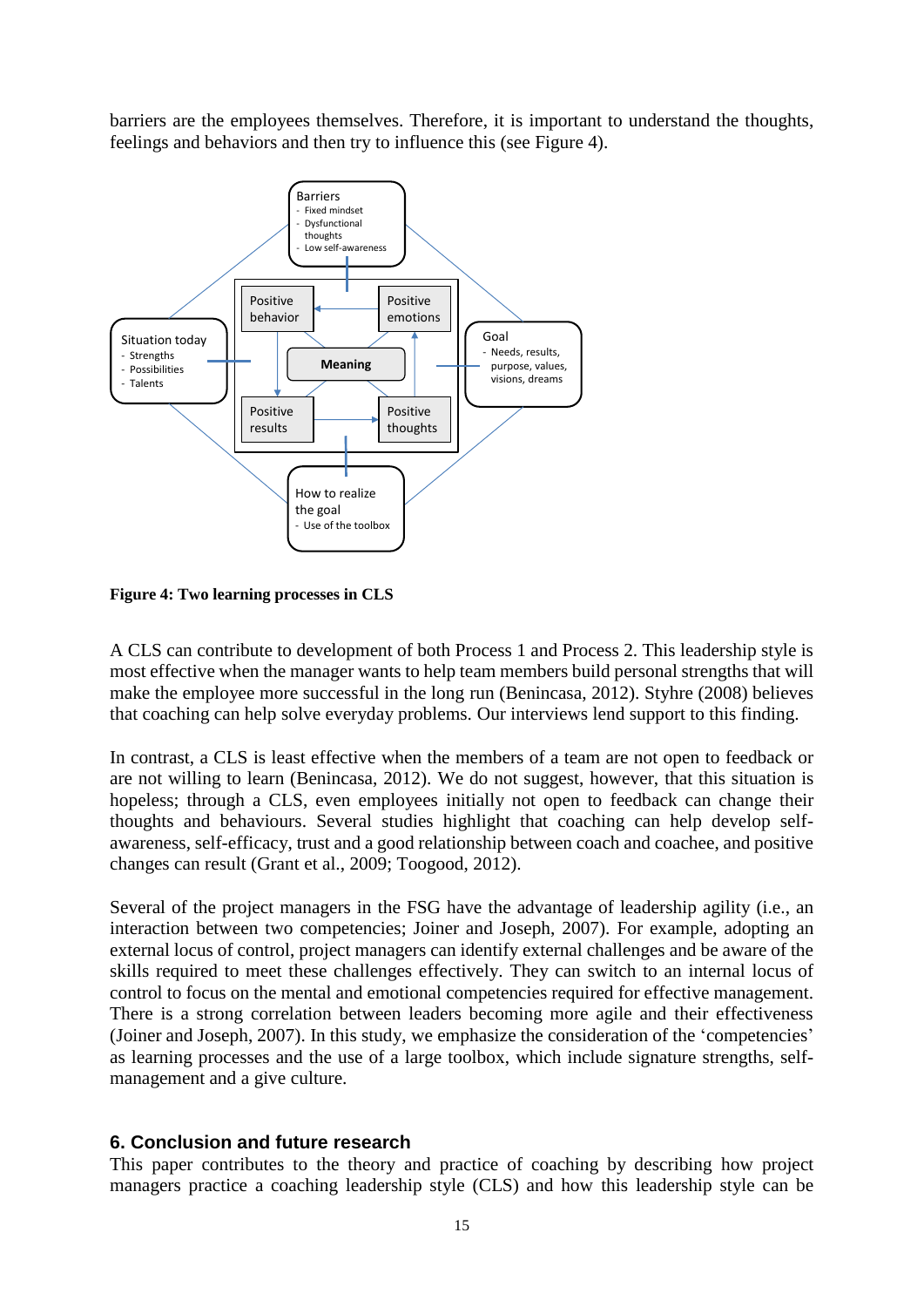barriers are the employees themselves. Therefore, it is important to understand the thoughts, feelings and behaviors and then try to influence this (see Figure 4).



**Figure 4: Two learning processes in CLS**

A CLS can contribute to development of both Process 1 and Process 2. This leadership style is most effective when the manager wants to help team members build personal strengths that will make the employee more successful in the long run (Benincasa, 2012). Styhre (2008) believes that coaching can help solve everyday problems. Our interviews lend support to this finding.

In contrast, a CLS is least effective when the members of a team are not open to feedback or are not willing to learn (Benincasa, 2012). We do not suggest, however, that this situation is hopeless; through a CLS, even employees initially not open to feedback can change their thoughts and behaviours. Several studies highlight that coaching can help develop selfawareness, self-efficacy, trust and a good relationship between coach and coachee, and positive changes can result (Grant et al., 2009; Toogood, 2012).

Several of the project managers in the FSG have the advantage of leadership agility (i.e., an interaction between two competencies; Joiner and Joseph, 2007). For example, adopting an external locus of control, project managers can identify external challenges and be aware of the skills required to meet these challenges effectively. They can switch to an internal locus of control to focus on the mental and emotional competencies required for effective management. There is a strong correlation between leaders becoming more agile and their effectiveness (Joiner and Joseph, 2007). In this study, we emphasize the consideration of the 'competencies' as learning processes and the use of a large toolbox, which include signature strengths, selfmanagement and a give culture.

# **6. Conclusion and future research**

This paper contributes to the theory and practice of coaching by describing how project managers practice a coaching leadership style (CLS) and how this leadership style can be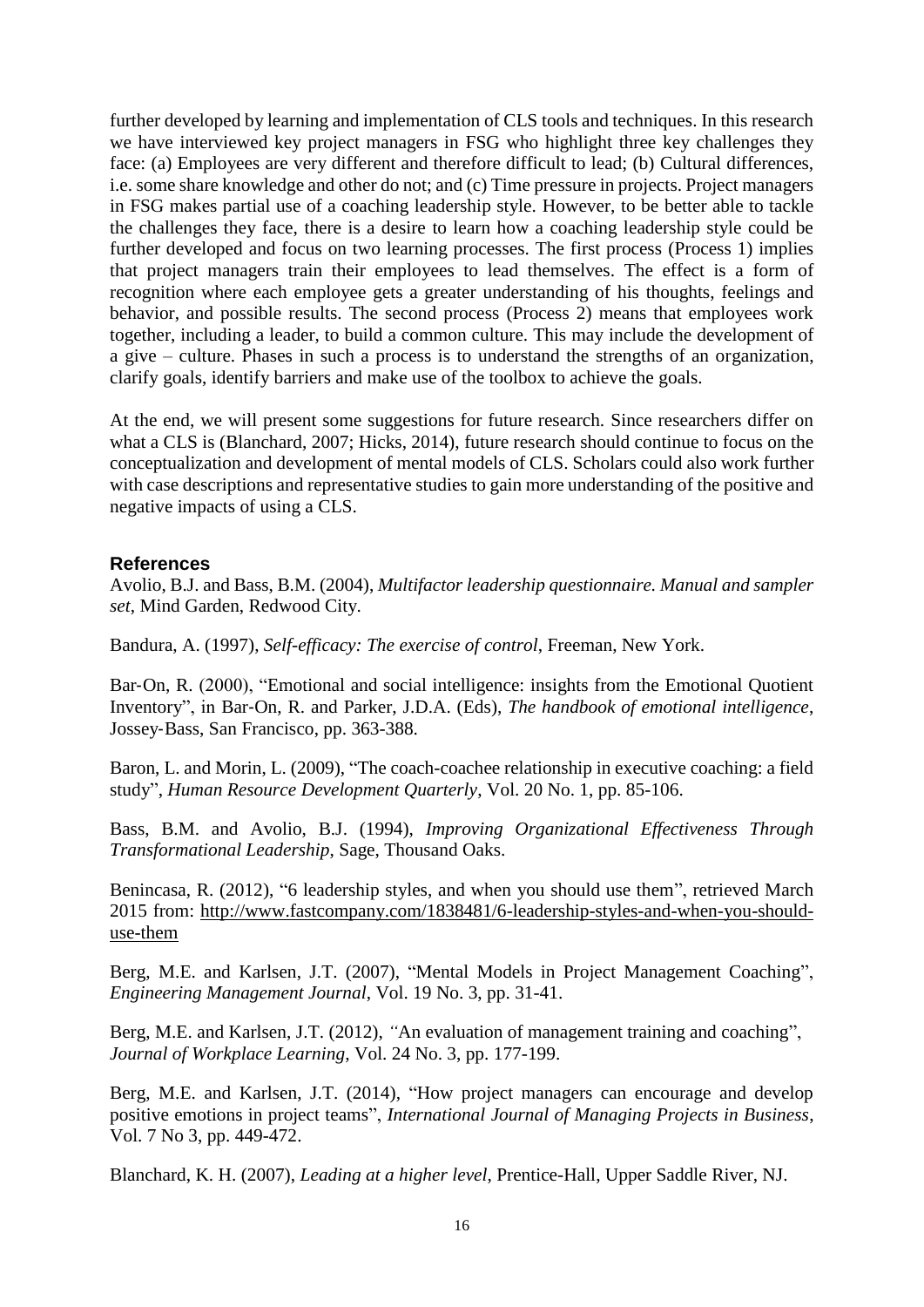further developed by learning and implementation of CLS tools and techniques. In this research we have interviewed key project managers in FSG who highlight three key challenges they face: (a) Employees are very different and therefore difficult to lead; (b) Cultural differences, i.e. some share knowledge and other do not; and (c) Time pressure in projects. Project managers in FSG makes partial use of a coaching leadership style. However, to be better able to tackle the challenges they face, there is a desire to learn how a coaching leadership style could be further developed and focus on two learning processes. The first process (Process 1) implies that project managers train their employees to lead themselves. The effect is a form of recognition where each employee gets a greater understanding of his thoughts, feelings and behavior, and possible results. The second process (Process 2) means that employees work together, including a leader, to build a common culture. This may include the development of a give – culture. Phases in such a process is to understand the strengths of an organization, clarify goals, identify barriers and make use of the toolbox to achieve the goals.

At the end, we will present some suggestions for future research. Since researchers differ on what a CLS is (Blanchard, 2007; Hicks, 2014), future research should continue to focus on the conceptualization and development of mental models of CLS. Scholars could also work further with case descriptions and representative studies to gain more understanding of the positive and negative impacts of using a CLS.

# **References**

Avolio, B.J. and Bass, B.M. (2004), *Multifactor leadership questionnaire. Manual and sampler set*, Mind Garden, Redwood City.

Bandura, A. (1997), *Self-efficacy: The exercise of control*, Freeman, New York.

Bar-On, R. (2000), "Emotional and social intelligence: insights from the Emotional Quotient Inventory", in Bar‐On, R. and Parker, J.D.A. (Eds), *The handbook of emotional intelligence*, Jossey‐Bass, San Francisco, pp. 363-388.

Baron, L. and Morin, L. (2009), "The coach-coachee relationship in executive coaching: a field study", *Human Resource Development Quarterly*, Vol. 20 No. 1, pp. 85-106.

Bass, B.M. and Avolio, B.J. (1994), *Improving Organizational Effectiveness Through Transformational Leadership*, Sage, Thousand Oaks.

Benincasa, R. (2012), "6 leadership styles, and when you should use them", retrieved March 2015 from: [http://www.fastcompany.com/1838481/6-leadership-styles-and-when-you-should](http://www.fastcompany.com/1838481/6-leadership-styles-and-when-you-should-use-them)[use-them](http://www.fastcompany.com/1838481/6-leadership-styles-and-when-you-should-use-them)

Berg, M.E. and Karlsen, J.T. (2007), "Mental Models in Project Management Coaching", *Engineering Management Journal*, Vol. 19 No. 3, pp. 31-41.

Berg, M.E. and Karlsen, J.T. (2012), *"*An evaluation of management training and coaching", *Journal of Workplace Learning*, Vol. 24 No. 3, pp. 177-199.

Berg, M.E. and Karlsen, J.T. (2014), "How project managers can encourage and develop positive emotions in project teams", *International Journal of Managing Projects in Business*, Vol. 7 No 3, pp. 449-472.

Blanchard, K. H. (2007), *Leading at a higher level*, Prentice-Hall, Upper Saddle River, NJ.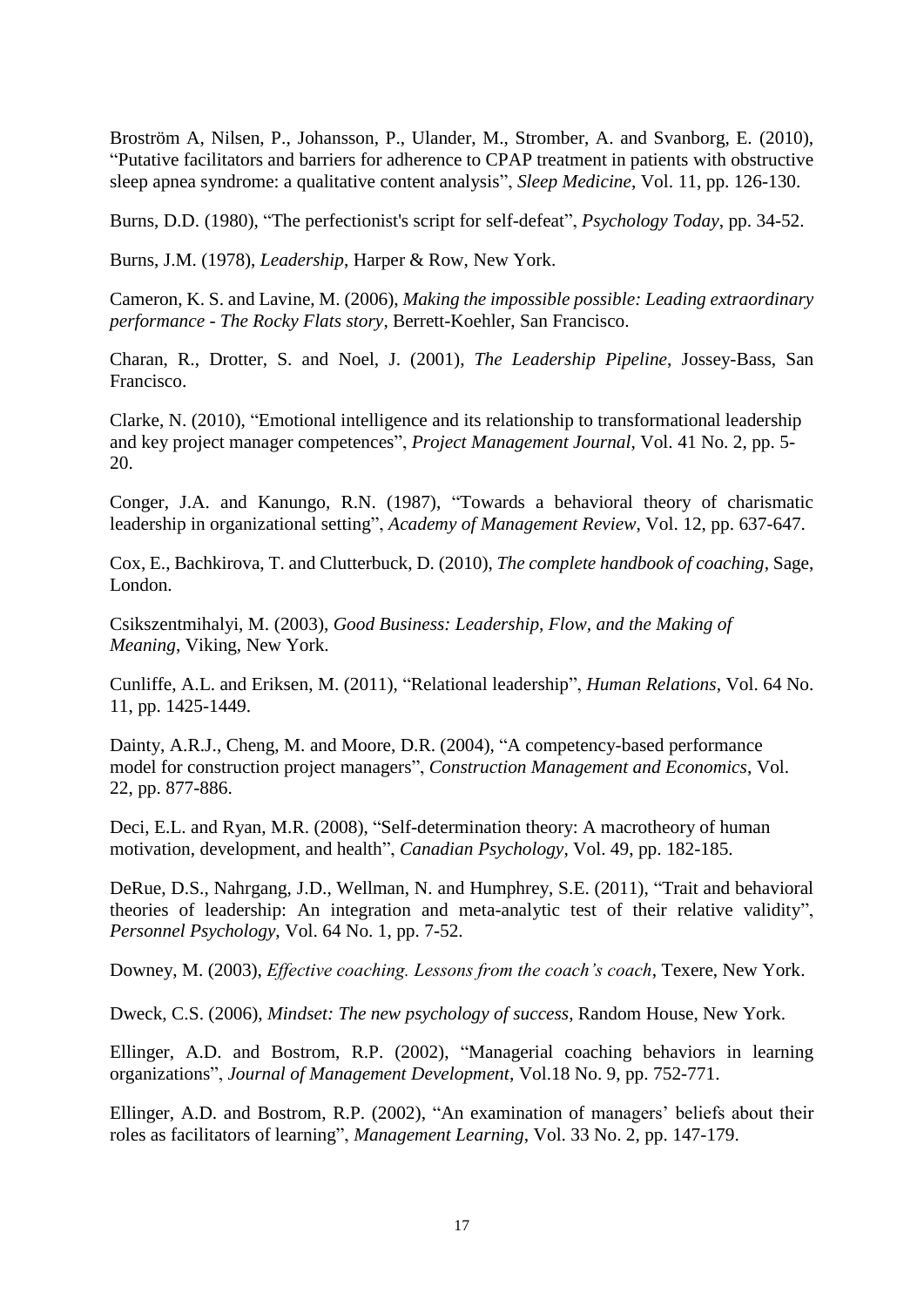Broström A, Nilsen, P., Johansson, P., Ulander, M., Stromber, A. and Svanborg, E. (2010), "Putative facilitators and barriers for adherence to CPAP treatment in patients with obstructive sleep apnea syndrome: a qualitative content analysis", *Sleep Medicine*, Vol. 11, pp. 126-130.

Burns, D.D. (1980), "The perfectionist's script for self-defeat", *Psychology Today*, pp. 34-52.

Burns, J.M. (1978), *Leadership*, Harper & Row, New York.

Cameron, K. S. and Lavine, M. (2006), *Making the impossible possible: Leading extraordinary performance - The Rocky Flats story*, Berrett-Koehler, San Francisco.

Charan, R., Drotter, S. and Noel, J. (2001), *The Leadership Pipeline*, Jossey-Bass, San Francisco.

Clarke, N. (2010), "Emotional intelligence and its relationship to transformational leadership and key project manager competences", *Project Management Journal*, Vol. 41 No. 2, pp. 5- 20.

Conger, J.A. and Kanungo, R.N. (1987), "Towards a behavioral theory of charismatic leadership in organizational setting", *Academy of Management Review*, Vol. 12, pp. 637-647.

Cox, E., Bachkirova, T. and Clutterbuck, D. (2010), *The complete handbook of coaching*, Sage, London.

Csikszentmihalyi, M. (2003), *Good Business: Leadership, Flow, and the Making of Meaning*, Viking, New York.

Cunliffe, A.L. and Eriksen, M. (2011), "Relational leadership", *Human Relations*, Vol. 64 No. 11, pp. 1425-1449.

Dainty, A.R.J., Cheng, M. and Moore, D.R. (2004), "A competency-based performance model for construction project managers", *Construction Management and Economics*, Vol. 22, pp. 877-886.

Deci, E.L. and Ryan, M.R. (2008), "Self-determination theory: A macrotheory of human motivation, development, and health", *Canadian Psychology*, Vol. 49, pp. 182-185.

DeRue, D.S., Nahrgang, J.D., Wellman, N. and Humphrey, S.E. (2011), "Trait and behavioral theories of leadership: An integration and meta-analytic test of their relative validity", *Personnel Psychology*, Vol. 64 No. 1, pp. 7-52.

Downey, M. (2003), *Effective coaching. Lessons from the coach's coach*, Texere, New York.

Dweck, C.S. (2006), *Mindset: The new psychology of success*, Random House, New York.

Ellinger, A.D. and Bostrom, R.P. (2002), "Managerial coaching behaviors in learning organizations", *Journal of Management Development*, Vol.18 No. 9, pp. 752-771.

Ellinger, A.D. and Bostrom, R.P. (2002), "An examination of managers' beliefs about their roles as facilitators of learning", *Management Learning*, Vol. 33 No. 2, pp. 147-179.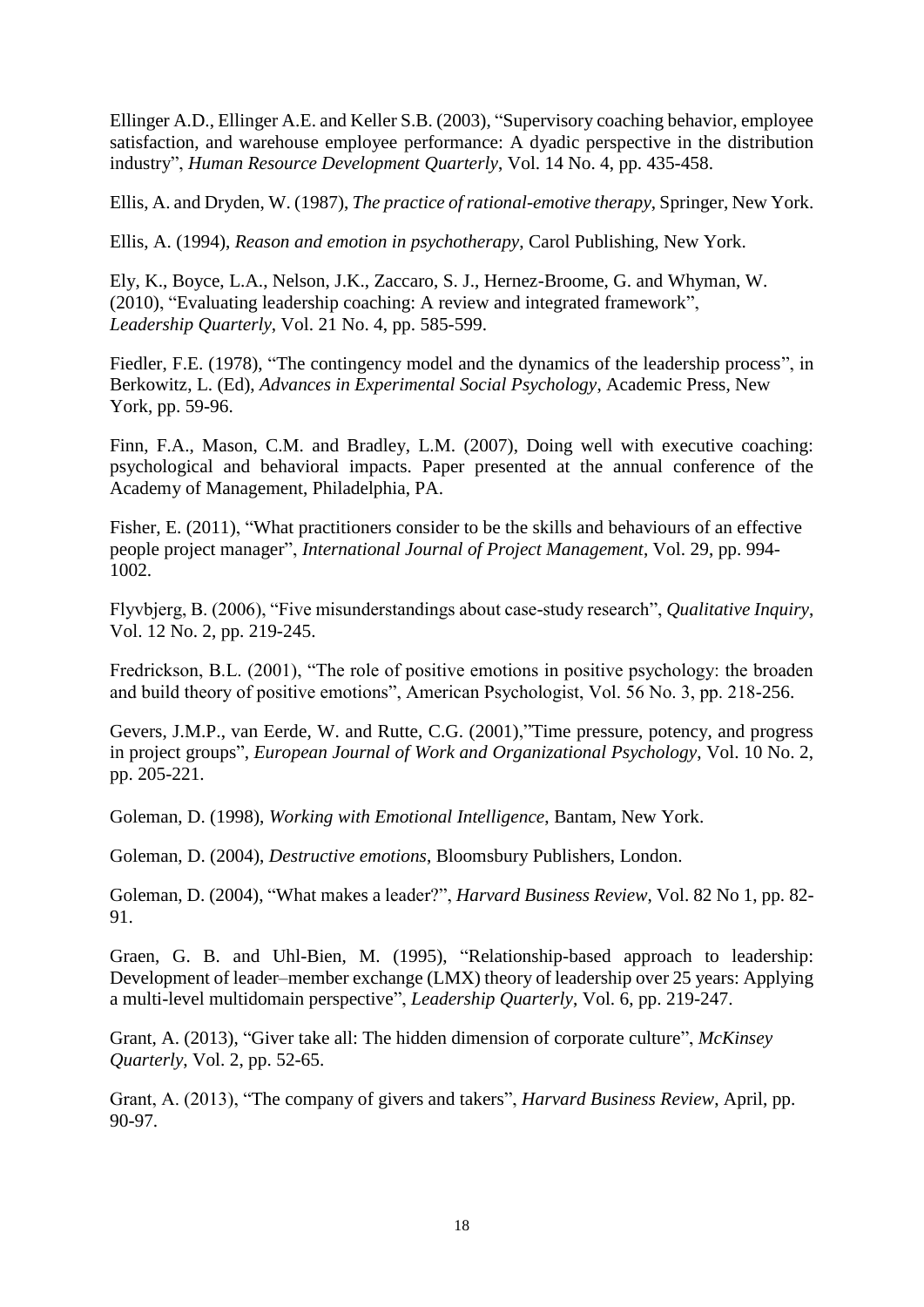Ellinger A.D., Ellinger A.E. and Keller S.B. (2003), "Supervisory coaching behavior, employee satisfaction, and warehouse employee performance: A dyadic perspective in the distribution industry", *Human Resource Development Quarterly*, Vol. 14 No. 4, pp. 435-458.

Ellis, A. and Dryden, W. (1987), *The practice of rational-emotive therapy*, Springer, New York.

Ellis, A. (1994), *Reason and emotion in psychotherapy*, Carol Publishing, New York.

Ely, K., Boyce, L.A., Nelson, J.K., Zaccaro, S. J., Hernez-Broome, G. and Whyman, W. (2010), "Evaluating leadership coaching: A review and integrated framework", *Leadership Quarterly*, Vol. 21 No. 4, pp. 585-599.

Fiedler, F.E. (1978), "The contingency model and the dynamics of the leadership process", in Berkowitz, L. (Ed), *Advances in Experimental Social Psychology*, Academic Press, New York, pp. 59-96.

Finn, F.A., Mason, C.M. and Bradley, L.M. (2007), Doing well with executive coaching: psychological and behavioral impacts. Paper presented at the annual conference of the Academy of Management, Philadelphia, PA.

Fisher, E. (2011), "What practitioners consider to be the skills and behaviours of an effective people project manager", *International Journal of Project Management*, Vol. 29, pp. 994- 1002.

Flyvbjerg, B. (2006), "Five misunderstandings about case-study research", *Qualitative Inquiry*, Vol. 12 No. 2, pp. 219-245.

Fredrickson, B.L. (2001), "The role of positive emotions in positive psychology: the broaden and build theory of positive emotions", American Psychologist, Vol. 56 No. 3, pp. 218-256.

Gevers, J.M.P., van Eerde, W. and Rutte, C.G. (2001),"Time pressure, potency, and progress in project groups", *European Journal of Work and Organizational Psychology*, Vol. 10 No. 2, pp. 205-221.

Goleman, D. (1998), *Working with Emotional Intelligence*, Bantam, New York.

Goleman, D. (2004), *Destructive emotions*, Bloomsbury Publishers, London.

Goleman, D. (2004), "What makes a leader?", *Harvard Business Review*, Vol. 82 No 1, pp. 82- 91.

Graen, G. B. and Uhl-Bien, M. (1995), "Relationship-based approach to leadership: Development of leader–member exchange (LMX) theory of leadership over 25 years: Applying a multi-level multidomain perspective", *Leadership Quarterly*, Vol. 6, pp. 219-247.

Grant, A. (2013), "Giver take all: The hidden dimension of corporate culture", *McKinsey Quarterly*, Vol. 2, pp. 52-65.

Grant, A. (2013), "The company of givers and takers", *Harvard Business Review*, April, pp. 90-97.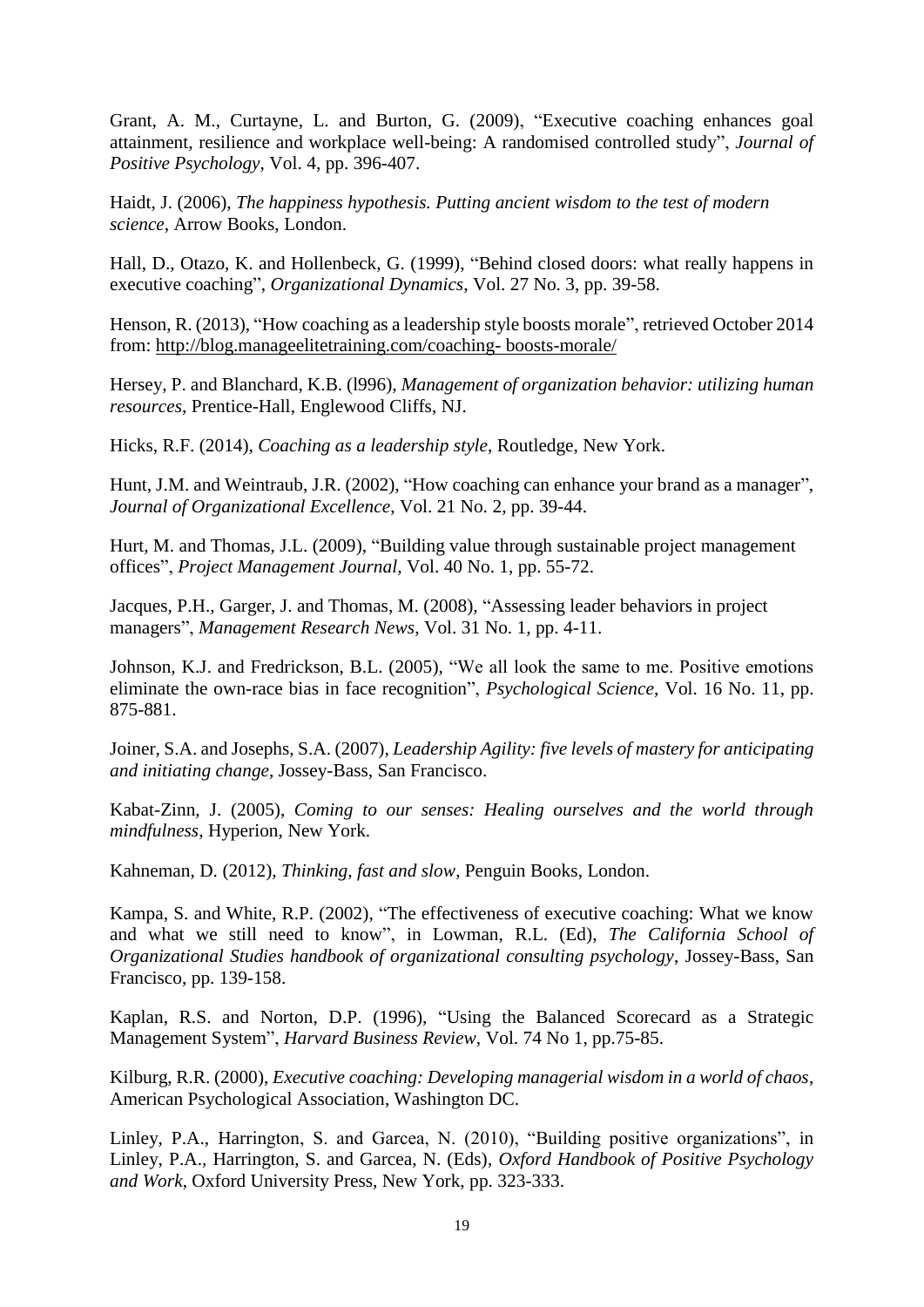Grant, A. M., Curtayne, L. and Burton, G. (2009), "Executive coaching enhances goal attainment, resilience and workplace well-being: A randomised controlled study", *Journal of Positive Psychology*, Vol. 4, pp. 396-407.

Haidt, J. (2006), *The happiness hypothesis. Putting ancient wisdom to the test of modern science*, Arrow Books, London.

Hall, D., Otazo, K. and Hollenbeck, G. (1999), "Behind closed doors: what really happens in executive coaching", *Organizational Dynamics*, Vol. 27 No. 3, pp. 39-58.

Henson, R. (2013), "How coaching as a leadership style boosts morale", retrieved October 2014 from: [http://blog.manageelitetraining.com/coaching-](http://blog.manageelitetraining.com/coaching-%20boosts-morale/) boosts-morale[/](http://blog.manageelitetraining.com/coaching-%20boosts-morale/)

Hersey, P. and Blanchard, K.B. (l996), *Management of organization behavior: utilizing human resources*, Prentice-Hall, Englewood Cliffs, NJ.

Hicks, R.F. (2014), *Coaching as a leadership style*, Routledge, New York.

Hunt, J.M. and Weintraub, J.R. (2002), "How coaching can enhance your brand as a manager", *Journal of Organizational Excellence*, Vol. 21 No. 2, pp. 39-44.

Hurt, M. and Thomas, J.L. (2009), "Building value through sustainable project management offices", *Project Management Journal*, Vol. 40 No. 1, pp. 55-72.

Jacques, P.H., Garger, J. and Thomas, M. (2008), "Assessing leader behaviors in project managers", *Management Research News*, Vol. 31 No. 1, pp. 4-11.

Johnson, K.J. and Fredrickson, B.L. (2005), "We all look the same to me. Positive emotions eliminate the own-race bias in face recognition", *Psychological Science*, Vol. 16 No. 11, pp. 875-881.

Joiner, S.A. and Josephs, S.A. (2007), *Leadership Agility: five levels of mastery for anticipating and initiating change*, Jossey-Bass, San Francisco.

Kabat-Zinn, J. (2005), *Coming to our senses: Healing ourselves and the world through mindfulness*, Hyperion, New York.

Kahneman, D. (2012), *Thinking, fast and slow*, Penguin Books, London.

Kampa, S. and White, R.P. (2002), "The effectiveness of executive coaching: What we know and what we still need to know", in Lowman, R.L. (Ed), *The California School of Organizational Studies handbook of organizational consulting psychology*, Jossey-Bass, San Francisco, pp. 139-158.

Kaplan, R.S. and Norton, D.P. (1996), "Using the Balanced Scorecard as a Strategic Management System", *Harvard Business Review*, Vol. 74 No 1, pp.75-85.

Kilburg, R.R. (2000), *Executive coaching: Developing managerial wisdom in a world of chaos*, American Psychological Association, Washington DC.

Linley, P.A., Harrington, S. and Garcea, N. (2010), "Building positive organizations", in Linley, P.A., Harrington, S. and Garcea, N. (Eds), *Oxford Handbook of Positive Psychology and Work*, Oxford University Press, New York, pp. 323-333.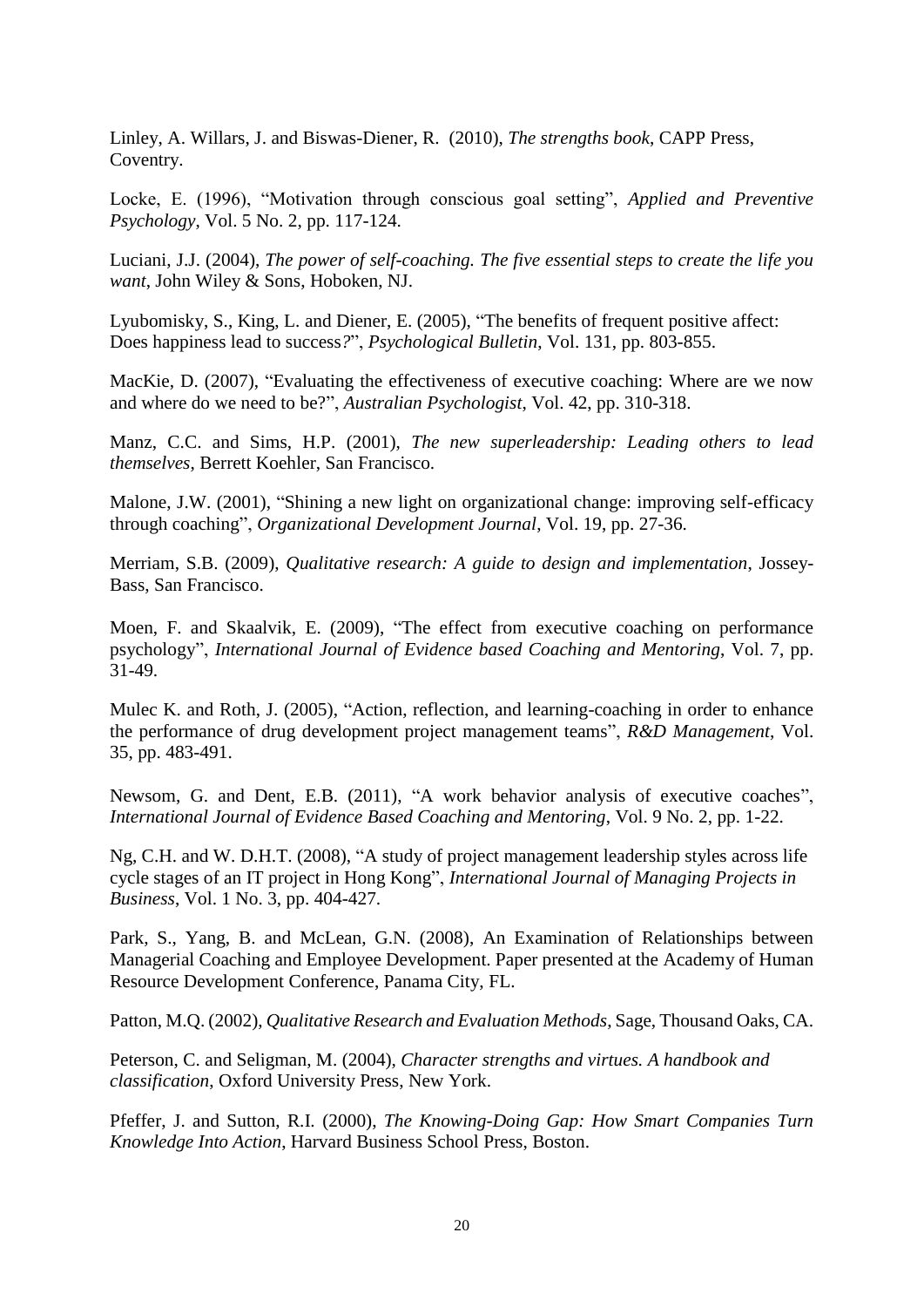Linley, A. Willars, J. and Biswas-Diener, R. (2010), *The strengths book*, CAPP Press, Coventry.

Locke, E. (1996), "Motivation through conscious goal setting", *Applied and Preventive Psychology*, Vol. 5 No. 2, pp. 117-124.

Luciani, J.J. (2004), *The power of self-coaching. The five essential steps to create the life you want*, John Wiley & Sons, Hoboken, NJ.

Lyubomisky, S., King, L. and Diener, E. (2005), "The benefits of frequent positive affect: Does happiness lead to success*?*", *Psychological Bulletin*, Vol. 131, pp. 803-855.

MacKie, D. (2007), "Evaluating the effectiveness of executive coaching: Where are we now and where do we need to be?", *Australian Psychologist*, Vol. 42, pp. 310-318.

Manz, C.C. and Sims, H.P. (2001), *The new superleadership: Leading others to lead themselves*, Berrett Koehler, San Francisco.

Malone, J.W. (2001), "Shining a new light on organizational change: improving self-efficacy through coaching", *Organizational Development Journal*, Vol. 19, pp. 27-36.

Merriam, S.B. (2009), *Qualitative research: A guide to design and implementation*, Jossey-Bass, San Francisco.

Moen, F. and Skaalvik, E. (2009), "The effect from executive coaching on performance psychology", *International Journal of Evidence based Coaching and Mentoring*, Vol. 7, pp. 31-49.

Mulec K. and Roth, J. (2005), "Action, reflection, and learning-coaching in order to enhance the performance of drug development project management teams", *R&D Management*, Vol. 35, pp. 483-491.

Newsom, G. and Dent, E.B. (2011), "A work behavior analysis of executive coaches", *International Journal of Evidence Based Coaching and Mentoring*, Vol. 9 No. 2, pp. 1-22.

Ng, C.H. and W. D.H.T. (2008), "A study of project management leadership styles across life cycle stages of an IT project in Hong Kong", *International Journal of Managing Projects in Business*, Vol. 1 No. 3, pp. 404-427.

Park, S., Yang, B. and McLean, G.N. (2008), An Examination of Relationships between Managerial Coaching and Employee Development. Paper presented at the Academy of Human Resource Development Conference, Panama City, FL.

Patton, M.Q. (2002), *Qualitative Research and Evaluation Methods*, Sage, Thousand Oaks, CA.

Peterson, C. and Seligman, M. (2004), *Character strengths and virtues. A handbook and classification*, Oxford University Press, New York.

Pfeffer, J. and Sutton, R.I. (2000), *The Knowing-Doing Gap: How Smart Companies Turn Knowledge Into Action*, Harvard Business School Press, Boston.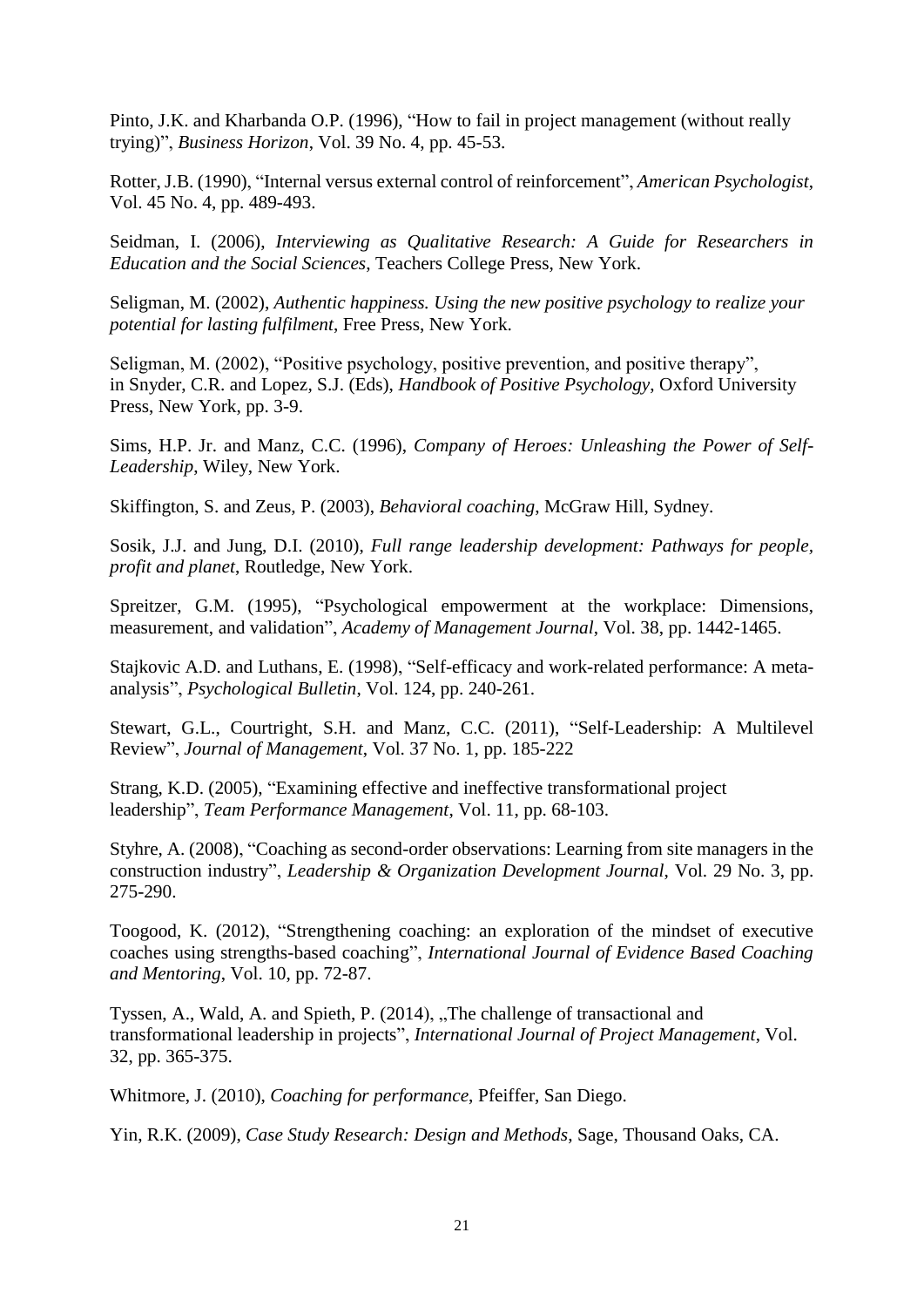Pinto, J.K. and Kharbanda O.P. (1996), "How to fail in project management (without really trying)", *Business Horizon*, Vol. 39 No. 4, pp. 45-53.

Rotter, J.B. (1990), "Internal versus external control of reinforcement", *American Psychologist*, Vol. 45 No. 4, pp. 489-493.

Seidman, I. (2006), *Interviewing as Qualitative Research: A Guide for Researchers in Education and the Social Sciences*, Teachers College Press, New York.

Seligman, M. (2002), *Authentic happiness. Using the new positive psychology to realize your potential for lasting fulfilment*, Free Press, New York.

Seligman, M. (2002), "Positive psychology, positive prevention, and positive therapy", in Snyder, C.R. and Lopez, S.J. (Eds), *Handbook of Positive Psychology*, Oxford University Press, New York, pp. 3-9.

Sims, H.P. Jr. and Manz, C.C. (1996), *Company of Heroes: Unleashing the Power of Self-Leadership*, Wiley, New York.

Skiffington, S. and Zeus, P. (2003), *Behavioral coaching*, McGraw Hill, Sydney.

Sosik, J.J. and Jung, D.I. (2010), *Full range leadership development: Pathways for people, profit and planet*, Routledge, New York.

Spreitzer, G.M. (1995), "Psychological empowerment at the workplace: Dimensions, measurement, and validation", *Academy of Management Journal*, Vol. 38, pp. 1442-1465.

Stajkovic A.D. and Luthans, E. (1998), "Self-efficacy and work-related performance: A metaanalysis", *Psychological Bulletin*, Vol. 124, pp. 240-261.

Stewart, G.L., Courtright, S.H. and Manz, C.C. (2011), "Self-Leadership: A Multilevel Review", *Journal of Management*, Vol. 37 No. 1, pp. 185-222

Strang, K.D. (2005), "Examining effective and ineffective transformational project leadership", *Team Performance Management*, Vol. 11, pp. 68-103.

Styhre, A. (2008), "Coaching as second-order observations: Learning from site managers in the construction industry", *Leadership & Organization Development Journal*, Vol. 29 No. 3, pp. 275-290.

Toogood, K. (2012), "Strengthening coaching: an exploration of the mindset of executive coaches using strengths-based coaching", *International Journal of Evidence Based Coaching and Mentoring*, Vol. 10, pp. 72-87.

Tyssen, A., Wald, A. and Spieth, P. (2014), "The challenge of transactional and transformational leadership in projects", *International Journal of Project Management*, Vol. 32, pp. 365-375.

Whitmore, J. (2010), *Coaching for performance*, Pfeiffer, San Diego.

Yin, R.K. (2009), *Case Study Research: Design and Methods*, Sage, Thousand Oaks, CA.